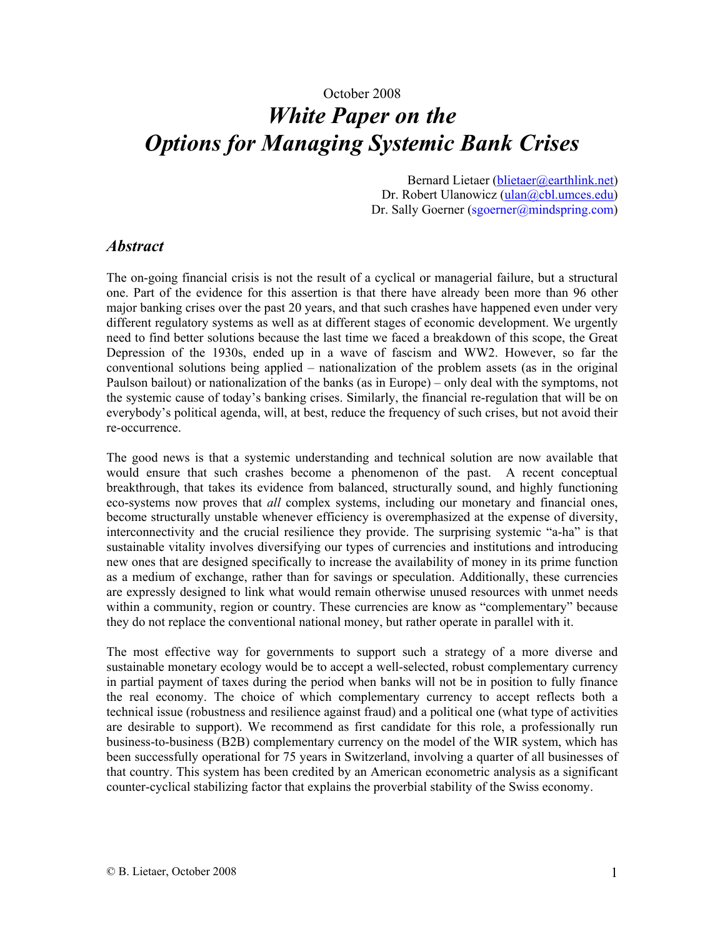# October 2008 *White Paper on the Options for Managing Systemic Bank Crises*

Bernard Lietaer (blietaer@earthlink.net) Dr. Robert Ulanowicz (ulan@cbl.umces.edu) Dr. Sally Goerner (sgoerner@mindspring.com)

#### *Abstract*

The on-going financial crisis is not the result of a cyclical or managerial failure, but a structural one. Part of the evidence for this assertion is that there have already been more than 96 other major banking crises over the past 20 years, and that such crashes have happened even under very different regulatory systems as well as at different stages of economic development. We urgently need to find better solutions because the last time we faced a breakdown of this scope, the Great Depression of the 1930s, ended up in a wave of fascism and WW2. However, so far the conventional solutions being applied – nationalization of the problem assets (as in the original Paulson bailout) or nationalization of the banks (as in Europe) – only deal with the symptoms, not the systemic cause of today's banking crises. Similarly, the financial re-regulation that will be on everybody's political agenda, will, at best, reduce the frequency of such crises, but not avoid their re-occurrence.

The good news is that a systemic understanding and technical solution are now available that would ensure that such crashes become a phenomenon of the past. A recent conceptual breakthrough, that takes its evidence from balanced, structurally sound, and highly functioning eco-systems now proves that *all* complex systems, including our monetary and financial ones, become structurally unstable whenever efficiency is overemphasized at the expense of diversity, interconnectivity and the crucial resilience they provide. The surprising systemic "a-ha" is that sustainable vitality involves diversifying our types of currencies and institutions and introducing new ones that are designed specifically to increase the availability of money in its prime function as a medium of exchange, rather than for savings or speculation. Additionally, these currencies are expressly designed to link what would remain otherwise unused resources with unmet needs within a community, region or country. These currencies are know as "complementary" because they do not replace the conventional national money, but rather operate in parallel with it.

The most effective way for governments to support such a strategy of a more diverse and sustainable monetary ecology would be to accept a well-selected, robust complementary currency in partial payment of taxes during the period when banks will not be in position to fully finance the real economy. The choice of which complementary currency to accept reflects both a technical issue (robustness and resilience against fraud) and a political one (what type of activities are desirable to support). We recommend as first candidate for this role, a professionally run business-to-business (B2B) complementary currency on the model of the WIR system, which has been successfully operational for 75 years in Switzerland, involving a quarter of all businesses of that country. This system has been credited by an American econometric analysis as a significant counter-cyclical stabilizing factor that explains the proverbial stability of the Swiss economy.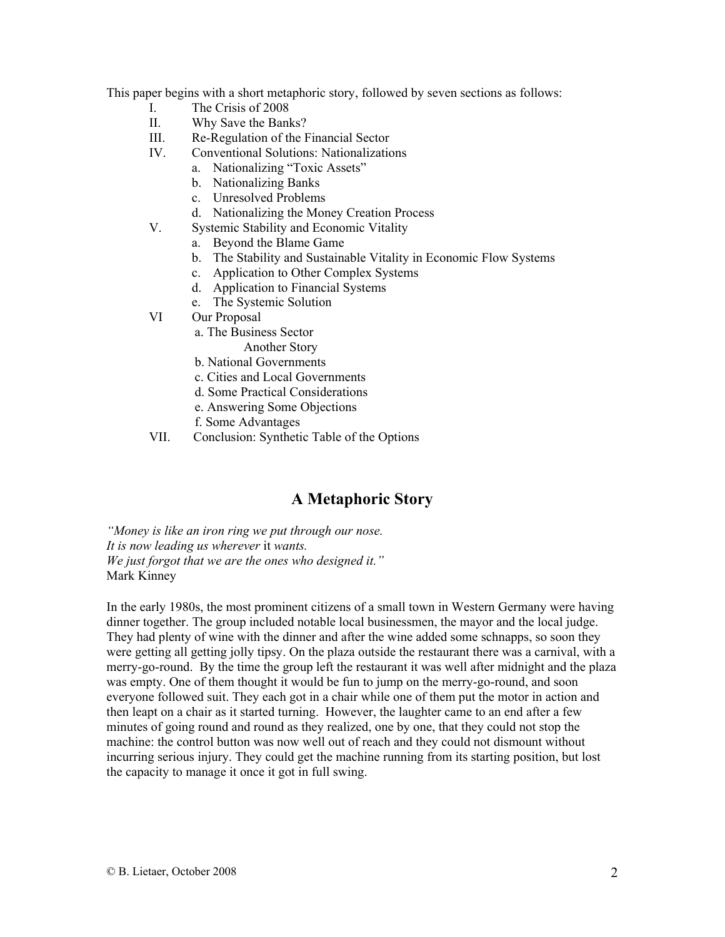This paper begins with a short metaphoric story, followed by seven sections as follows:

- I. The Crisis of 2008
- II. Why Save the Banks?
- III. Re-Regulation of the Financial Sector
- IV. Conventional Solutions: Nationalizations
	- a. Nationalizing "Toxic Assets"
	- b. Nationalizing Banks
	- c. Unresolved Problems
	- d. Nationalizing the Money Creation Process
- V. Systemic Stability and Economic Vitality
	- a. Beyond the Blame Game
	- b. The Stability and Sustainable Vitality in Economic Flow Systems
	- c. Application to Other Complex Systems
	- d. Application to Financial Systems
	- e. The Systemic Solution
- VI Our Proposal
	- a. The Business Sector
		- Another Story
	- b. National Governments
	- c. Cities and Local Governments
	- d. Some Practical Considerations
	- e. Answering Some Objections
	- f. Some Advantages
- VII. Conclusion: Synthetic Table of the Options

#### **A Metaphoric Story**

*"Money is like an iron ring we put through our nose. It is now leading us wherever* it *wants. We just forgot that we are the ones who designed it."*  Mark Kinney

In the early 1980s, the most prominent citizens of a small town in Western Germany were having dinner together. The group included notable local businessmen, the mayor and the local judge. They had plenty of wine with the dinner and after the wine added some schnapps, so soon they were getting all getting jolly tipsy. On the plaza outside the restaurant there was a carnival, with a merry-go-round. By the time the group left the restaurant it was well after midnight and the plaza was empty. One of them thought it would be fun to jump on the merry-go-round, and soon everyone followed suit. They each got in a chair while one of them put the motor in action and then leapt on a chair as it started turning. However, the laughter came to an end after a few minutes of going round and round as they realized, one by one, that they could not stop the machine: the control button was now well out of reach and they could not dismount without incurring serious injury. They could get the machine running from its starting position, but lost the capacity to manage it once it got in full swing.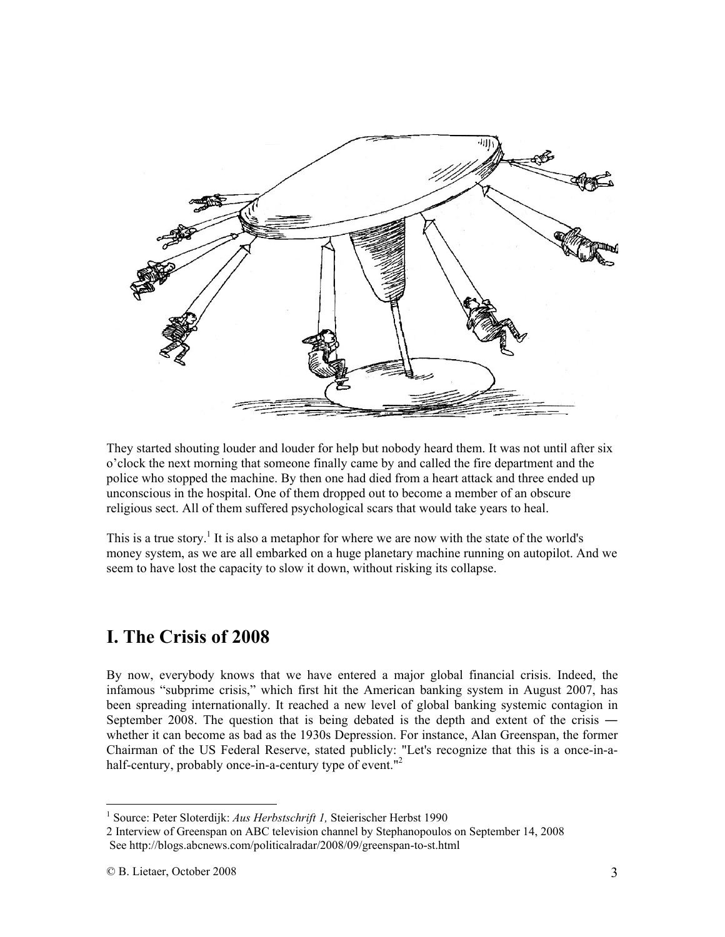

They started shouting louder and louder for help but nobody heard them. It was not until after six o'clock the next morning that someone finally came by and called the fire department and the police who stopped the machine. By then one had died from a heart attack and three ended up unconscious in the hospital. One of them dropped out to become a member of an obscure religious sect. All of them suffered psychological scars that would take years to heal.

This is a true story.<sup>1</sup> It is also a metaphor for where we are now with the state of the world's money system, as we are all embarked on a huge planetary machine running on autopilot. And we seem to have lost the capacity to slow it down, without risking its collapse.

# **I. The Crisis of 2008**

By now, everybody knows that we have entered a major global financial crisis. Indeed, the infamous "subprime crisis," which first hit the American banking system in August 2007, has been spreading internationally. It reached a new level of global banking systemic contagion in September 2008. The question that is being debated is the depth and extent of the crisis ― whether it can become as bad as the 1930s Depression. For instance, Alan Greenspan, the former Chairman of the US Federal Reserve, stated publicly: "Let's recognize that this is a once-in-ahalf-century, probably once-in-a-century type of event."<sup>2</sup>

<sup>&</sup>lt;sup>1</sup> Source: Peter Sloterdijk: Aus Herbstschrift 1, Steierischer Herbst 1990

<sup>2</sup> Interview of Greenspan on ABC television channel by Stephanopoulos on September 14, 2008 See http://blogs.abcnews.com/politicalradar/2008/09/greenspan-to-st.html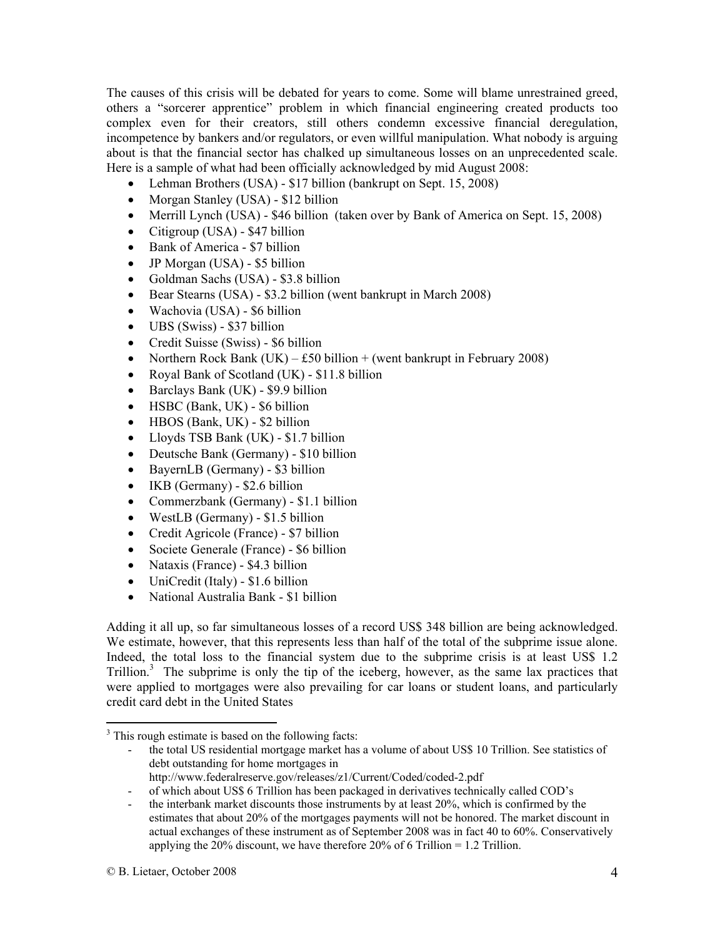The causes of this crisis will be debated for years to come. Some will blame unrestrained greed, others a "sorcerer apprentice" problem in which financial engineering created products too complex even for their creators, still others condemn excessive financial deregulation, incompetence by bankers and/or regulators, or even willful manipulation. What nobody is arguing about is that the financial sector has chalked up simultaneous losses on an unprecedented scale. Here is a sample of what had been officially acknowledged by mid August 2008:

- Lehman Brothers (USA) \$17 billion (bankrupt on Sept. 15, 2008)
- Morgan Stanley (USA) \$12 billion
- Merrill Lynch (USA) \$46 billion (taken over by Bank of America on Sept. 15, 2008)
- Citigroup (USA) \$47 billion
- Bank of America \$7 billion
- JP Morgan (USA) \$5 billion
- Goldman Sachs (USA) \$3.8 billion
- Bear Stearns (USA) \$3.2 billion (went bankrupt in March 2008)
- Wachovia (USA) \$6 billion
- UBS (Swiss) \$37 billion
- Credit Suisse (Swiss) \$6 billion
- Northern Rock Bank (UK) £50 billion + (went bankrupt in February 2008)
- Royal Bank of Scotland (UK) \$11.8 billion
- Barclays Bank (UK) \$9.9 billion
- HSBC (Bank, UK) \$6 billion
- HBOS (Bank, UK) \$2 billion
- Lloyds TSB Bank (UK) \$1.7 billion
- Deutsche Bank (Germany) \$10 billion
- BayernLB (Germany) \$3 billion
- IKB (Germany) \$2.6 billion
- Commerzbank (Germany) \$1.1 billion
- WestLB (Germany) \$1.5 billion
- Credit Agricole (France) \$7 billion
- Societe Generale (France) \$6 billion
- Nataxis (France) \$4.3 billion
- UniCredit (Italy) \$1.6 billion
- National Australia Bank \$1 billion

Adding it all up, so far simultaneous losses of a record US\$ 348 billion are being acknowledged. We estimate, however, that this represents less than half of the total of the subprime issue alone. Indeed, the total loss to the financial system due to the subprime crisis is at least US\$ 1.2 Trillion.<sup>3</sup> The subprime is only the tip of the iceberg, however, as the same lax practices that were applied to mortgages were also prevailing for car loans or student loans, and particularly credit card debt in the United States

 $\overline{a}$ <sup>3</sup> This rough estimate is based on the following facts:

<sup>-</sup> the total US residential mortgage market has a volume of about US\$ 10 Trillion. See statistics of debt outstanding for home mortgages in

http://www.federalreserve.gov/releases/z1/Current/Coded/coded-2.pdf

<sup>-</sup> of which about US\$ 6 Trillion has been packaged in derivatives technically called COD's

<sup>-</sup> the interbank market discounts those instruments by at least 20%, which is confirmed by the estimates that about 20% of the mortgages payments will not be honored. The market discount in actual exchanges of these instrument as of September 2008 was in fact 40 to 60%. Conservatively applying the 20% discount, we have therefore 20% of 6 Trillion = 1.2 Trillion.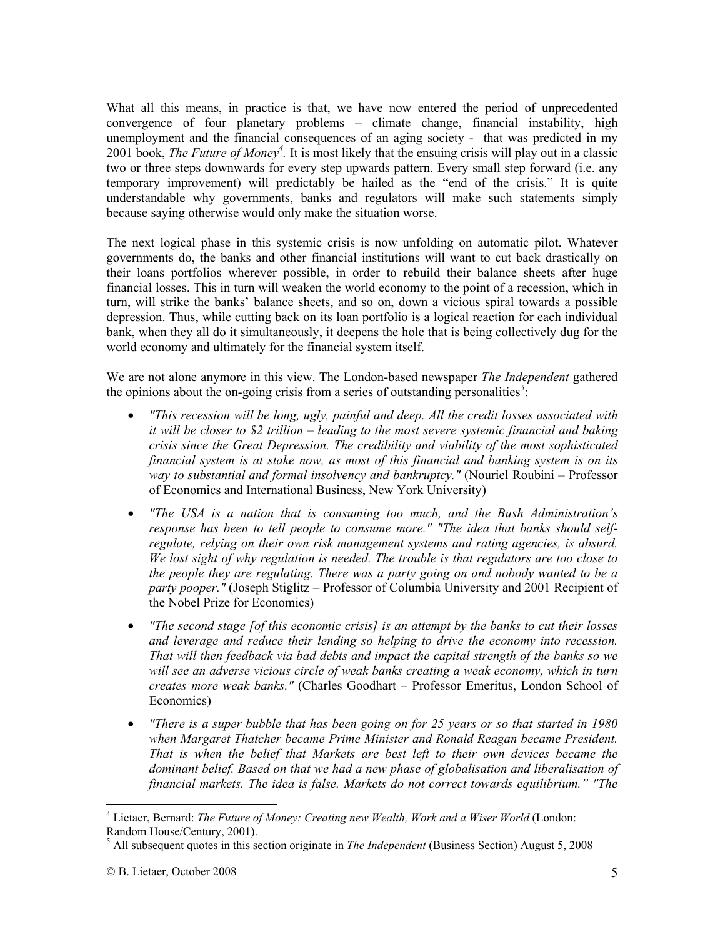What all this means, in practice is that, we have now entered the period of unprecedented convergence of four planetary problems – climate change, financial instability, high unemployment and the financial consequences of an aging society - that was predicted in my 2001 book, *The Future of Money<sup>4</sup> .* It is most likely that the ensuing crisis will play out in a classic two or three steps downwards for every step upwards pattern. Every small step forward (i.e. any temporary improvement) will predictably be hailed as the "end of the crisis." It is quite understandable why governments, banks and regulators will make such statements simply because saying otherwise would only make the situation worse.

The next logical phase in this systemic crisis is now unfolding on automatic pilot. Whatever governments do, the banks and other financial institutions will want to cut back drastically on their loans portfolios wherever possible, in order to rebuild their balance sheets after huge financial losses. This in turn will weaken the world economy to the point of a recession, which in turn, will strike the banks' balance sheets, and so on, down a vicious spiral towards a possible depression. Thus, while cutting back on its loan portfolio is a logical reaction for each individual bank, when they all do it simultaneously, it deepens the hole that is being collectively dug for the world economy and ultimately for the financial system itself.

We are not alone anymore in this view. The London-based newspaper *The Independent* gathered the opinions about the on-going crisis from a series of outstanding personalities*<sup>5</sup>* :

- *"This recession will be long, ugly, painful and deep. All the credit losses associated with it will be closer to \$2 trillion – leading to the most severe systemic financial and baking crisis since the Great Depression. The credibility and viability of the most sophisticated financial system is at stake now, as most of this financial and banking system is on its way to substantial and formal insolvency and bankruptcy."* (Nouriel Roubini – Professor of Economics and International Business, New York University)
- *"The USA is a nation that is consuming too much, and the Bush Administration's response has been to tell people to consume more." "The idea that banks should selfregulate, relying on their own risk management systems and rating agencies, is absurd. We lost sight of why regulation is needed. The trouble is that regulators are too close to the people they are regulating. There was a party going on and nobody wanted to be a party pooper."* (Joseph Stiglitz – Professor of Columbia University and 2001 Recipient of the Nobel Prize for Economics)
- *"The second stage [of this economic crisis] is an attempt by the banks to cut their losses and leverage and reduce their lending so helping to drive the economy into recession. That will then feedback via bad debts and impact the capital strength of the banks so we will see an adverse vicious circle of weak banks creating a weak economy, which in turn creates more weak banks."* (Charles Goodhart – Professor Emeritus, London School of Economics)
- *"There is a super bubble that has been going on for 25 years or so that started in 1980 when Margaret Thatcher became Prime Minister and Ronald Reagan became President. That is when the belief that Markets are best left to their own devices became the dominant belief. Based on that we had a new phase of globalisation and liberalisation of financial markets. The idea is false. Markets do not correct towards equilibrium." "The*

<sup>&</sup>lt;sup>4</sup> Lietaer, Bernard: *The Future of Money: Creating new Wealth, Work and a Wiser World* (London: Random House/Century, 2001).

<sup>5</sup> All subsequent quotes in this section originate in *The Independent* (Business Section) August 5, 2008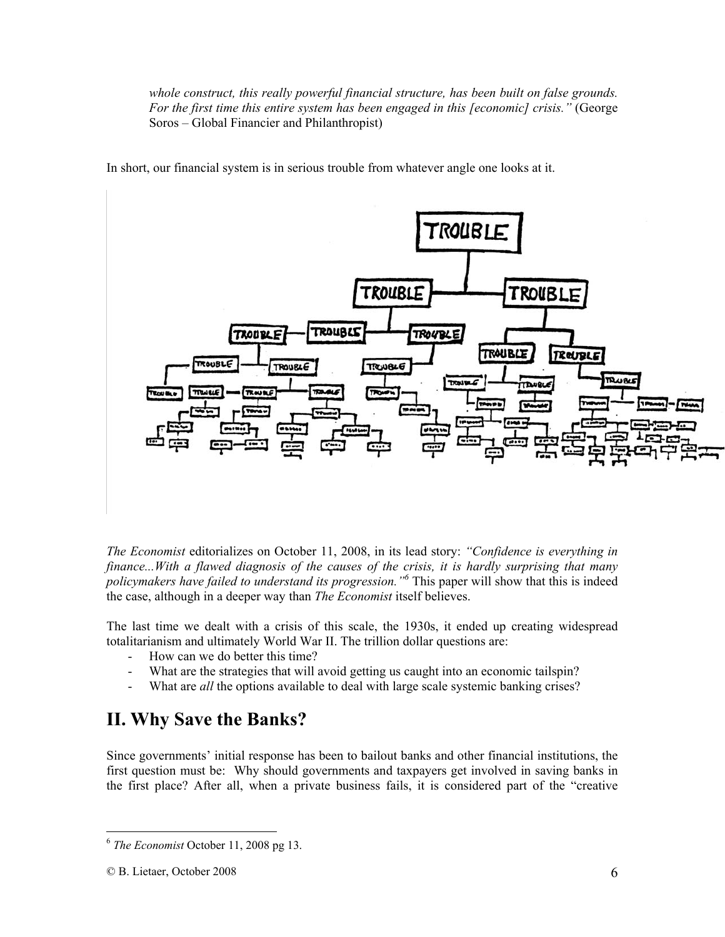*whole construct, this really powerful financial structure, has been built on false grounds. For the first time this entire system has been engaged in this [economic] crisis."* (George Soros – Global Financier and Philanthropist)



In short, our financial system is in serious trouble from whatever angle one looks at it.

*The Economist* editorializes on October 11, 2008, in its lead story: *"Confidence is everything in finance...With a flawed diagnosis of the causes of the crisis, it is hardly surprising that many policymakers have failed to understand its progression."6* This paper will show that this is indeed the case, although in a deeper way than *The Economist* itself believes.

The last time we dealt with a crisis of this scale, the 1930s, it ended up creating widespread totalitarianism and ultimately World War II. The trillion dollar questions are:

- How can we do better this time?
- What are the strategies that will avoid getting us caught into an economic tailspin?
- What are *all* the options available to deal with large scale systemic banking crises?

## **II. Why Save the Banks?**

Since governments' initial response has been to bailout banks and other financial institutions, the first question must be: Why should governments and taxpayers get involved in saving banks in the first place? After all, when a private business fails, it is considered part of the "creative

<sup>6</sup> *The Economist* October 11, 2008 pg 13.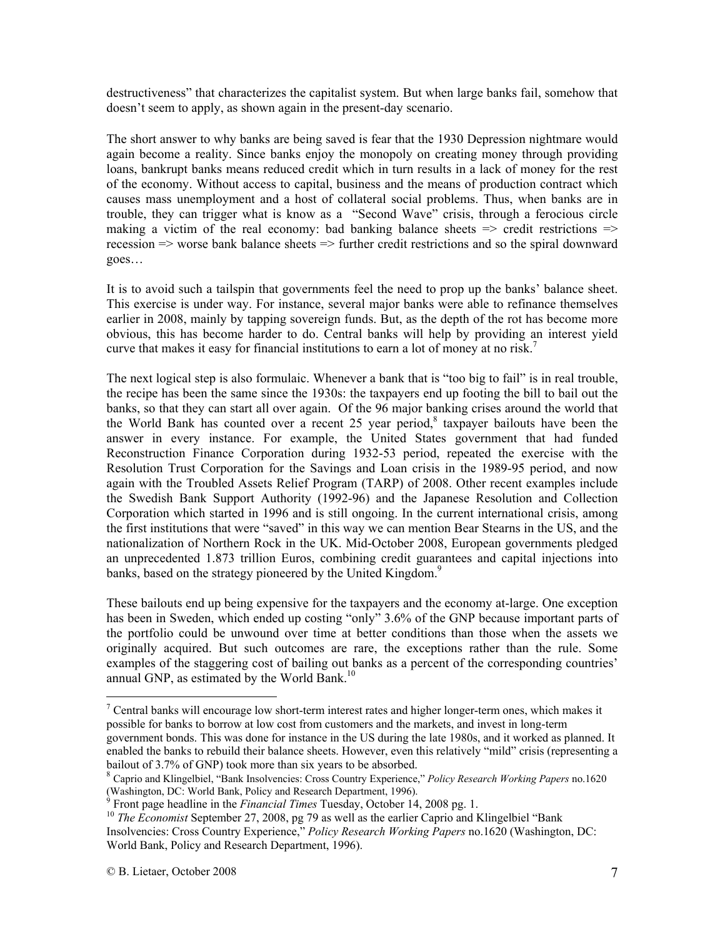destructiveness" that characterizes the capitalist system. But when large banks fail, somehow that doesn't seem to apply, as shown again in the present-day scenario.

The short answer to why banks are being saved is fear that the 1930 Depression nightmare would again become a reality. Since banks enjoy the monopoly on creating money through providing loans, bankrupt banks means reduced credit which in turn results in a lack of money for the rest of the economy. Without access to capital, business and the means of production contract which causes mass unemployment and a host of collateral social problems. Thus, when banks are in trouble, they can trigger what is know as a "Second Wave" crisis, through a ferocious circle making a victim of the real economy: bad banking balance sheets  $\Rightarrow$  credit restrictions  $\Rightarrow$ recession => worse bank balance sheets => further credit restrictions and so the spiral downward goes…

It is to avoid such a tailspin that governments feel the need to prop up the banks' balance sheet. This exercise is under way. For instance, several major banks were able to refinance themselves earlier in 2008, mainly by tapping sovereign funds. But, as the depth of the rot has become more obvious, this has become harder to do. Central banks will help by providing an interest yield curve that makes it easy for financial institutions to earn a lot of money at no risk.<sup>7</sup>

The next logical step is also formulaic. Whenever a bank that is "too big to fail" is in real trouble, the recipe has been the same since the 1930s: the taxpayers end up footing the bill to bail out the banks, so that they can start all over again. Of the 96 major banking crises around the world that the World Bank has counted over a recent 25 year period,<sup>8</sup> taxpayer bailouts have been the answer in every instance. For example, the United States government that had funded Reconstruction Finance Corporation during 1932-53 period, repeated the exercise with the Resolution Trust Corporation for the Savings and Loan crisis in the 1989-95 period, and now again with the Troubled Assets Relief Program (TARP) of 2008. Other recent examples include the Swedish Bank Support Authority (1992-96) and the Japanese Resolution and Collection Corporation which started in 1996 and is still ongoing. In the current international crisis, among the first institutions that were "saved" in this way we can mention Bear Stearns in the US, and the nationalization of Northern Rock in the UK. Mid-October 2008, European governments pledged an unprecedented 1.873 trillion Euros, combining credit guarantees and capital injections into banks, based on the strategy pioneered by the United Kingdom.<sup>9</sup>

These bailouts end up being expensive for the taxpayers and the economy at-large. One exception has been in Sweden, which ended up costing "only" 3.6% of the GNP because important parts of the portfolio could be unwound over time at better conditions than those when the assets we originally acquired. But such outcomes are rare, the exceptions rather than the rule. Some examples of the staggering cost of bailing out banks as a percent of the corresponding countries' annual GNP, as estimated by the World Bank.<sup>10</sup>

 $7$  Central banks will encourage low short-term interest rates and higher longer-term ones, which makes it possible for banks to borrow at low cost from customers and the markets, and invest in long-term government bonds. This was done for instance in the US during the late 1980s, and it worked as planned. It enabled the banks to rebuild their balance sheets. However, even this relatively "mild" crisis (representing a bailout of 3.7% of GNP) took more than six years to be absorbed.

<sup>8</sup> Caprio and Klingelbiel, "Bank Insolvencies: Cross Country Experience," *Policy Research Working Papers* no.1620 (Washington, DC: World Bank, Policy and Research Department, 1996).<br><sup>9</sup> Front nago boadling in the *Financial Times* Tuesday, October 14.

<sup>&</sup>lt;sup>10</sup> The *Economist* September 27, 2008, pg. 79 as well as the earlier Caprio and Klingelbiel "Bank" Insolvencies: Cross Country Experience," *Policy Research Working Papers* no.1620 (Washington, DC: World Bank, Policy and Research Department, 1996).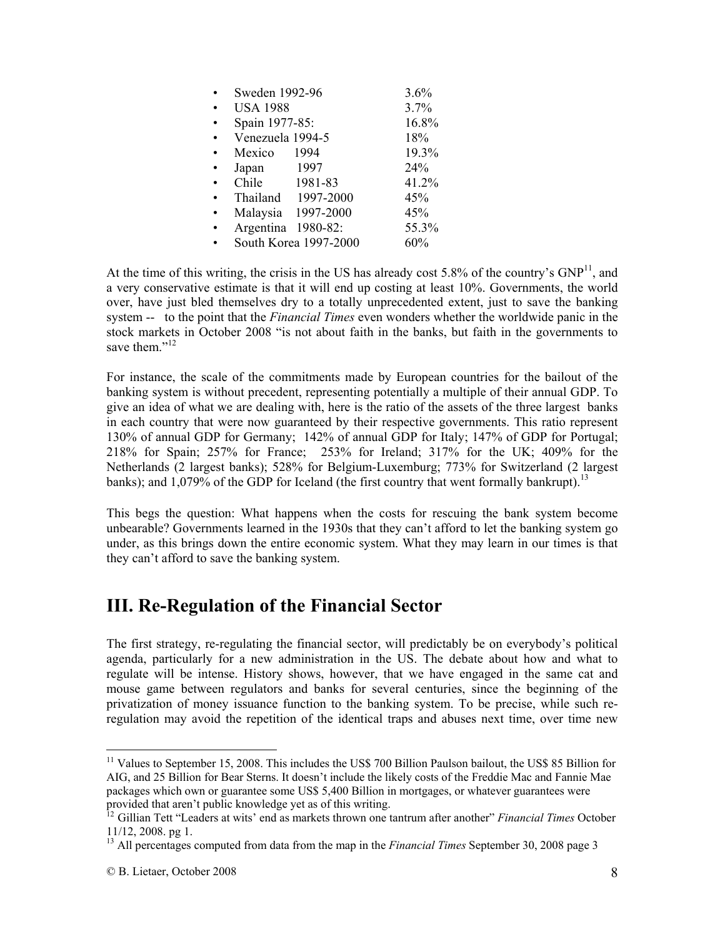| Sweden 1992-96        | 3.6%      |       |
|-----------------------|-----------|-------|
| <b>USA 1988</b>       |           | 3.7%  |
| Spain 1977-85:        | 16.8%     |       |
| Venezuela 1994-5      |           | 18%   |
| Mexico                | 1994      | 19.3% |
| Japan                 | 1997      | 24%   |
| Chile                 | 1981-83   | 41.2% |
| Thailand              | 1997-2000 | 45%   |
| Malaysia 1997-2000    |           | 45%   |
| Argentina             | 1980-82:  | 55.3% |
| South Korea 1997-2000 |           | 60%   |

At the time of this writing, the crisis in the US has already cost  $5.8\%$  of the country's  $GNP<sup>11</sup>$ , and a very conservative estimate is that it will end up costing at least 10%. Governments, the world over, have just bled themselves dry to a totally unprecedented extent, just to save the banking system -- to the point that the *Financial Times* even wonders whether the worldwide panic in the stock markets in October 2008 "is not about faith in the banks, but faith in the governments to save them."<sup>12</sup>

For instance, the scale of the commitments made by European countries for the bailout of the banking system is without precedent, representing potentially a multiple of their annual GDP. To give an idea of what we are dealing with, here is the ratio of the assets of the three largest banks in each country that were now guaranteed by their respective governments. This ratio represent 130% of annual GDP for Germany; 142% of annual GDP for Italy; 147% of GDP for Portugal; 218% for Spain; 257% for France; 253% for Ireland; 317% for the UK; 409% for the Netherlands (2 largest banks); 528% for Belgium-Luxemburg; 773% for Switzerland (2 largest banks); and  $1,079\%$  of the GDP for Iceland (the first country that went formally bankrupt).<sup>13</sup>

This begs the question: What happens when the costs for rescuing the bank system become unbearable? Governments learned in the 1930s that they can't afford to let the banking system go under, as this brings down the entire economic system. What they may learn in our times is that they can't afford to save the banking system.

# **III. Re-Regulation of the Financial Sector**

The first strategy, re-regulating the financial sector, will predictably be on everybody's political agenda, particularly for a new administration in the US. The debate about how and what to regulate will be intense. History shows, however, that we have engaged in the same cat and mouse game between regulators and banks for several centuries, since the beginning of the privatization of money issuance function to the banking system. To be precise, while such reregulation may avoid the repetition of the identical traps and abuses next time, over time new

<sup>&</sup>lt;sup>11</sup> Values to September 15, 2008. This includes the US\$ 700 Billion Paulson bailout, the US\$ 85 Billion for AIG, and 25 Billion for Bear Sterns. It doesn't include the likely costs of the Freddie Mac and Fannie Mae packages which own or guarantee some US\$ 5,400 Billion in mortgages, or whatever guarantees were provided that aren't public knowledge yet as of this writing.

<sup>12</sup> Gillian Tett "Leaders at wits' end as markets thrown one tantrum after another" *Financial Times* October 11/12, 2008. pg 1.

<sup>13</sup> All percentages computed from data from the map in the *Financial Times* September 30, 2008 page 3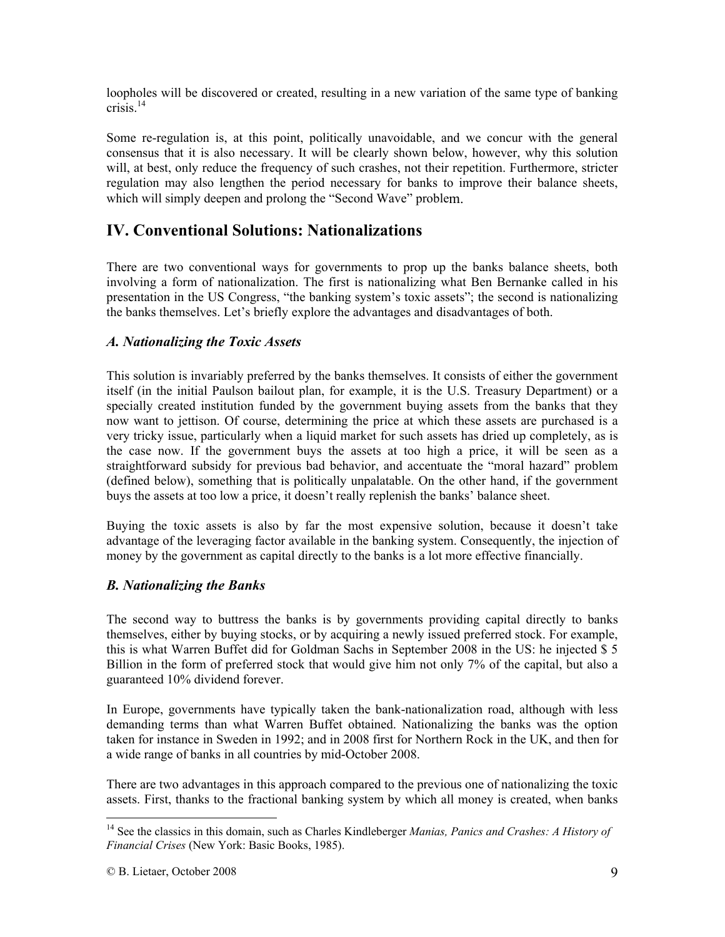loopholes will be discovered or created, resulting in a new variation of the same type of banking crisis<sup> $14$ </sup>

Some re-regulation is, at this point, politically unavoidable, and we concur with the general consensus that it is also necessary. It will be clearly shown below, however, why this solution will, at best, only reduce the frequency of such crashes, not their repetition. Furthermore, stricter regulation may also lengthen the period necessary for banks to improve their balance sheets, which will simply deepen and prolong the "Second Wave" problem.

### **IV. Conventional Solutions: Nationalizations**

There are two conventional ways for governments to prop up the banks balance sheets, both involving a form of nationalization. The first is nationalizing what Ben Bernanke called in his presentation in the US Congress, "the banking system's toxic assets"; the second is nationalizing the banks themselves. Let's briefly explore the advantages and disadvantages of both.

#### *A. Nationalizing the Toxic Assets*

This solution is invariably preferred by the banks themselves. It consists of either the government itself (in the initial Paulson bailout plan, for example, it is the U.S. Treasury Department) or a specially created institution funded by the government buying assets from the banks that they now want to jettison. Of course, determining the price at which these assets are purchased is a very tricky issue, particularly when a liquid market for such assets has dried up completely, as is the case now. If the government buys the assets at too high a price, it will be seen as a straightforward subsidy for previous bad behavior, and accentuate the "moral hazard" problem (defined below), something that is politically unpalatable. On the other hand, if the government buys the assets at too low a price, it doesn't really replenish the banks' balance sheet.

Buying the toxic assets is also by far the most expensive solution, because it doesn't take advantage of the leveraging factor available in the banking system. Consequently, the injection of money by the government as capital directly to the banks is a lot more effective financially.

#### *B. Nationalizing the Banks*

The second way to buttress the banks is by governments providing capital directly to banks themselves, either by buying stocks, or by acquiring a newly issued preferred stock. For example, this is what Warren Buffet did for Goldman Sachs in September 2008 in the US: he injected \$ 5 Billion in the form of preferred stock that would give him not only 7% of the capital, but also a guaranteed 10% dividend forever.

In Europe, governments have typically taken the bank-nationalization road, although with less demanding terms than what Warren Buffet obtained. Nationalizing the banks was the option taken for instance in Sweden in 1992; and in 2008 first for Northern Rock in the UK, and then for a wide range of banks in all countries by mid-October 2008.

There are two advantages in this approach compared to the previous one of nationalizing the toxic assets. First, thanks to the fractional banking system by which all money is created, when banks

<sup>14</sup> See the classics in this domain, such as Charles Kindleberger *Manias, Panics and Crashes: A History of Financial Crises* (New York: Basic Books, 1985).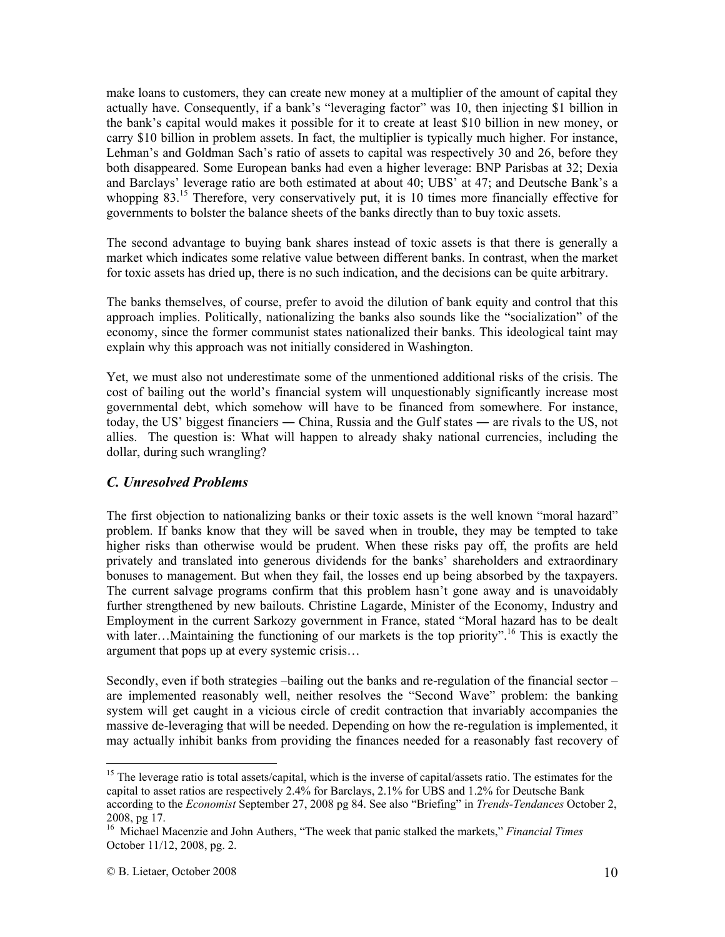make loans to customers, they can create new money at a multiplier of the amount of capital they actually have. Consequently, if a bank's "leveraging factor" was 10, then injecting \$1 billion in the bank's capital would makes it possible for it to create at least \$10 billion in new money, or carry \$10 billion in problem assets. In fact, the multiplier is typically much higher. For instance, Lehman's and Goldman Sach's ratio of assets to capital was respectively 30 and 26, before they both disappeared. Some European banks had even a higher leverage: BNP Parisbas at 32; Dexia and Barclays' leverage ratio are both estimated at about 40; UBS' at 47; and Deutsche Bank's a whopping 83.<sup>15</sup> Therefore, very conservatively put, it is 10 times more financially effective for governments to bolster the balance sheets of the banks directly than to buy toxic assets.

The second advantage to buying bank shares instead of toxic assets is that there is generally a market which indicates some relative value between different banks. In contrast, when the market for toxic assets has dried up, there is no such indication, and the decisions can be quite arbitrary.

The banks themselves, of course, prefer to avoid the dilution of bank equity and control that this approach implies. Politically, nationalizing the banks also sounds like the "socialization" of the economy, since the former communist states nationalized their banks. This ideological taint may explain why this approach was not initially considered in Washington.

Yet, we must also not underestimate some of the unmentioned additional risks of the crisis. The cost of bailing out the world's financial system will unquestionably significantly increase most governmental debt, which somehow will have to be financed from somewhere. For instance, today, the US' biggest financiers ― China, Russia and the Gulf states ― are rivals to the US, not allies. The question is: What will happen to already shaky national currencies, including the dollar, during such wrangling?

#### *C. Unresolved Problems*

The first objection to nationalizing banks or their toxic assets is the well known "moral hazard" problem. If banks know that they will be saved when in trouble, they may be tempted to take higher risks than otherwise would be prudent. When these risks pay off, the profits are held privately and translated into generous dividends for the banks' shareholders and extraordinary bonuses to management. But when they fail, the losses end up being absorbed by the taxpayers. The current salvage programs confirm that this problem hasn't gone away and is unavoidably further strengthened by new bailouts. Christine Lagarde, Minister of the Economy, Industry and Employment in the current Sarkozy government in France, stated "Moral hazard has to be dealt with later...Maintaining the functioning of our markets is the top priority".<sup>16</sup> This is exactly the argument that pops up at every systemic crisis…

Secondly, even if both strategies –bailing out the banks and re-regulation of the financial sector – are implemented reasonably well, neither resolves the "Second Wave" problem: the banking system will get caught in a vicious circle of credit contraction that invariably accompanies the massive de-leveraging that will be needed. Depending on how the re-regulation is implemented, it may actually inhibit banks from providing the finances needed for a reasonably fast recovery of

<sup>&</sup>lt;sup>15</sup> The leverage ratio is total assets/capital, which is the inverse of capital/assets ratio. The estimates for the capital to asset ratios are respectively 2.4% for Barclays, 2.1% for UBS and 1.2% for Deutsche Bank according to the *Economist* September 27, 2008 pg 84. See also "Briefing" in *Trends-Tendances* October 2, 2008, pg 17.

<sup>16</sup> Michael Macenzie and John Authers, "The week that panic stalked the markets," *Financial Times*  October 11/12, 2008, pg. 2.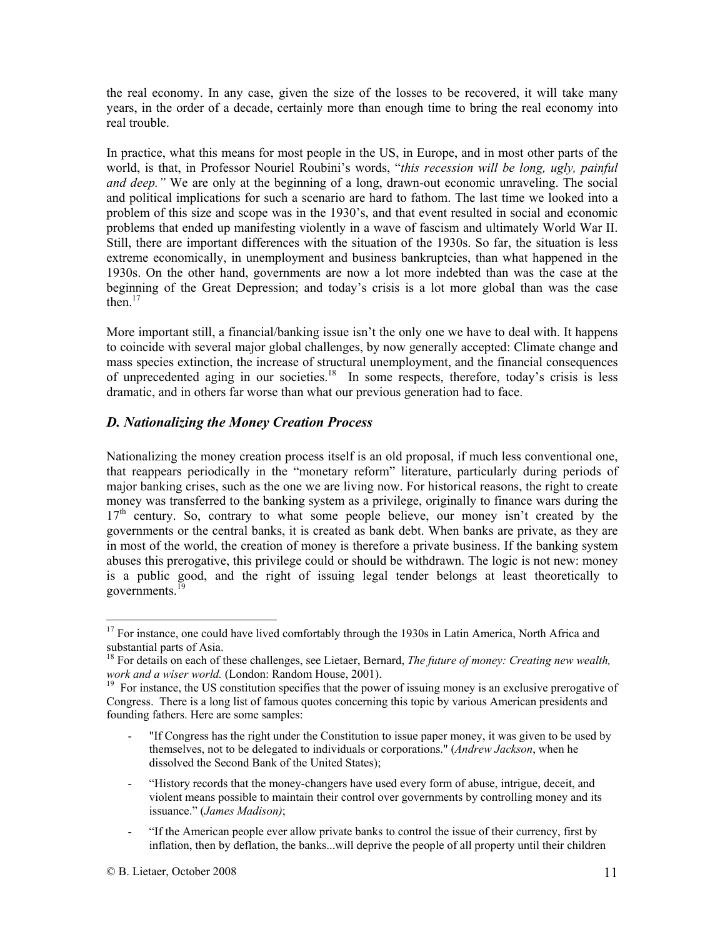the real economy. In any case, given the size of the losses to be recovered, it will take many years, in the order of a decade, certainly more than enough time to bring the real economy into real trouble.

In practice, what this means for most people in the US, in Europe, and in most other parts of the world, is that, in Professor Nouriel Roubini's words, "*this recession will be long, ugly, painful and deep."* We are only at the beginning of a long, drawn-out economic unraveling. The social and political implications for such a scenario are hard to fathom. The last time we looked into a problem of this size and scope was in the 1930's, and that event resulted in social and economic problems that ended up manifesting violently in a wave of fascism and ultimately World War II. Still, there are important differences with the situation of the 1930s. So far, the situation is less extreme economically, in unemployment and business bankruptcies, than what happened in the 1930s. On the other hand, governments are now a lot more indebted than was the case at the beginning of the Great Depression; and today's crisis is a lot more global than was the case then. $17$ 

More important still, a financial/banking issue isn't the only one we have to deal with. It happens to coincide with several major global challenges, by now generally accepted: Climate change and mass species extinction, the increase of structural unemployment, and the financial consequences of unprecedented aging in our societies.<sup>18</sup> In some respects, therefore, today's crisis is less dramatic, and in others far worse than what our previous generation had to face.

#### *D. Nationalizing the Money Creation Process*

Nationalizing the money creation process itself is an old proposal, if much less conventional one, that reappears periodically in the "monetary reform" literature, particularly during periods of major banking crises, such as the one we are living now. For historical reasons, the right to create money was transferred to the banking system as a privilege, originally to finance wars during the  $17<sup>th</sup>$  century. So, contrary to what some people believe, our money isn't created by the governments or the central banks, it is created as bank debt. When banks are private, as they are in most of the world, the creation of money is therefore a private business. If the banking system abuses this prerogative, this privilege could or should be withdrawn. The logic is not new: money is a public good, and the right of issuing legal tender belongs at least theoretically to governments.<sup>1</sup>

- "If Congress has the right under the Constitution to issue paper money, it was given to be used by themselves, not to be delegated to individuals or corporations." (*Andrew Jackson*, when he dissolved the Second Bank of the United States);
- "History records that the money-changers have used every form of abuse, intrigue, deceit, and violent means possible to maintain their control over governments by controlling money and its issuance." (*James Madison)*;
- "If the American people ever allow private banks to control the issue of their currency, first by inflation, then by deflation, the banks...will deprive the people of all property until their children

<sup>&</sup>lt;sup>17</sup> For instance, one could have lived comfortably through the 1930s in Latin America, North Africa and substantial parts of Asia.

<sup>&</sup>lt;sup>18</sup> For details on each of these challenges, see Lietaer, Bernard, *The future of money: Creating new wealth, work and a wiser world.* (London: Random House, 2001).

<sup>&</sup>lt;sup>19</sup> For instance, the US constitution specifies that the power of issuing money is an exclusive prerogative of Congress. There is a long list of famous quotes concerning this topic by various American presidents and founding fathers. Here are some samples: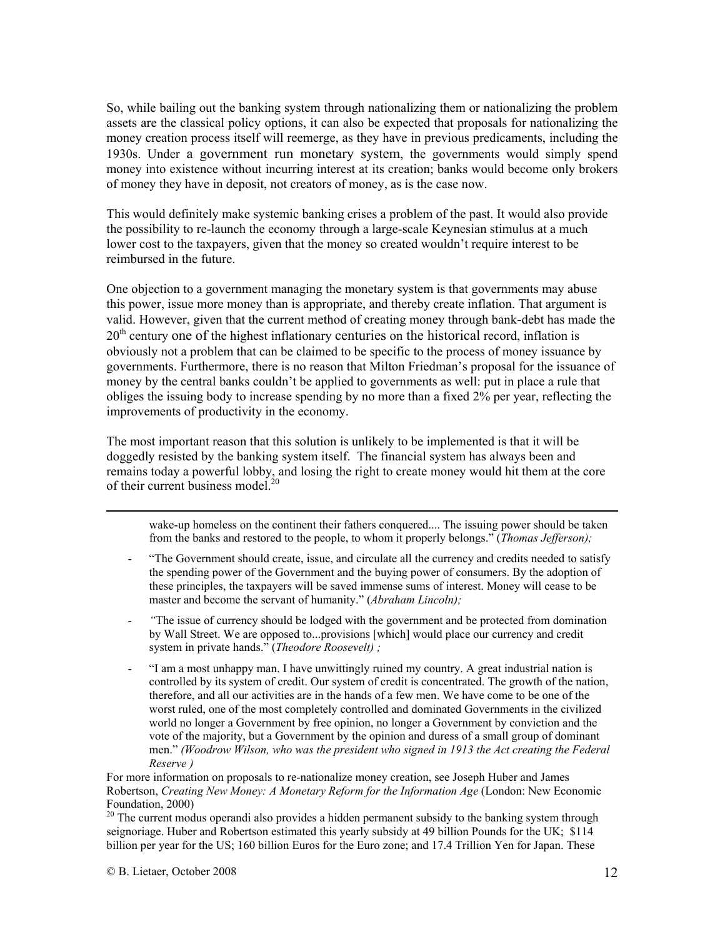So, while bailing out the banking system through nationalizing them or nationalizing the problem assets are the classical policy options, it can also be expected that proposals for nationalizing the money creation process itself will reemerge, as they have in previous predicaments, including the 1930s. Under a government run monetary system, the governments would simply spend money into existence without incurring interest at its creation; banks would become only brokers of money they have in deposit, not creators of money, as is the case now.

This would definitely make systemic banking crises a problem of the past. It would also provide the possibility to re-launch the economy through a large-scale Keynesian stimulus at a much lower cost to the taxpayers, given that the money so created wouldn't require interest to be reimbursed in the future.

One objection to a government managing the monetary system is that governments may abuse this power, issue more money than is appropriate, and thereby create inflation. That argument is valid. However, given that the current method of creating money through bank-debt has made the  $20<sup>th</sup>$  century one of the highest inflationary centuries on the historical record, inflation is obviously not a problem that can be claimed to be specific to the process of money issuance by governments. Furthermore, there is no reason that Milton Friedman's proposal for the issuance of money by the central banks couldn't be applied to governments as well: put in place a rule that obliges the issuing body to increase spending by no more than a fixed 2% per year, reflecting the improvements of productivity in the economy.

The most important reason that this solution is unlikely to be implemented is that it will be doggedly resisted by the banking system itself. The financial system has always been and remains today a powerful lobby, and losing the right to create money would hit them at the core of their current business model.<sup>20</sup>

 wake-up homeless on the continent their fathers conquered.... The issuing power should be taken from the banks and restored to the people, to whom it properly belongs." (*Thomas Jefferson);*

- "The Government should create, issue, and circulate all the currency and credits needed to satisfy the spending power of the Government and the buying power of consumers. By the adoption of these principles, the taxpayers will be saved immense sums of interest. Money will cease to be master and become the servant of humanity." (*Abraham Lincoln);*
- *"*The issue of currency should be lodged with the government and be protected from domination by Wall Street. We are opposed to...provisions [which] would place our currency and credit system in private hands." (*Theodore Roosevelt) ;*
- "I am a most unhappy man. I have unwittingly ruined my country. A great industrial nation is controlled by its system of credit. Our system of credit is concentrated. The growth of the nation, therefore, and all our activities are in the hands of a few men. We have come to be one of the worst ruled, one of the most completely controlled and dominated Governments in the civilized world no longer a Government by free opinion, no longer a Government by conviction and the vote of the majority, but a Government by the opinion and duress of a small group of dominant men." *(Woodrow Wilson, who was the president who signed in 1913 the Act creating the Federal Reserve )*

For more information on proposals to re-nationalize money creation, see Joseph Huber and James Robertson, *Creating New Money: A Monetary Reform for the Information Age* (London: New Economic Foundation, 2000)

<sup>20</sup> The current modus operandi also provides a hidden permanent subsidy to the banking system through seignoriage. Huber and Robertson estimated this yearly subsidy at 49 billion Pounds for the UK; \$114 billion per year for the US; 160 billion Euros for the Euro zone; and 17.4 Trillion Yen for Japan. These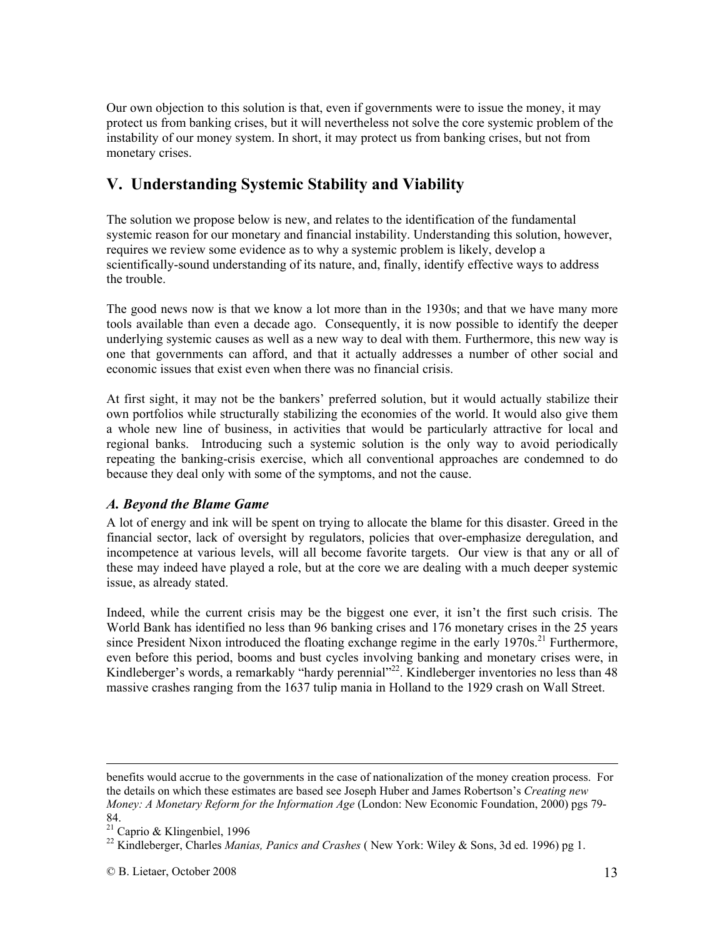Our own objection to this solution is that, even if governments were to issue the money, it may protect us from banking crises, but it will nevertheless not solve the core systemic problem of the instability of our money system. In short, it may protect us from banking crises, but not from monetary crises.

### **V. Understanding Systemic Stability and Viability**

The solution we propose below is new, and relates to the identification of the fundamental systemic reason for our monetary and financial instability. Understanding this solution, however, requires we review some evidence as to why a systemic problem is likely, develop a scientifically-sound understanding of its nature, and, finally, identify effective ways to address the trouble.

The good news now is that we know a lot more than in the 1930s; and that we have many more tools available than even a decade ago. Consequently, it is now possible to identify the deeper underlying systemic causes as well as a new way to deal with them. Furthermore, this new way is one that governments can afford, and that it actually addresses a number of other social and economic issues that exist even when there was no financial crisis.

At first sight, it may not be the bankers' preferred solution, but it would actually stabilize their own portfolios while structurally stabilizing the economies of the world. It would also give them a whole new line of business, in activities that would be particularly attractive for local and regional banks. Introducing such a systemic solution is the only way to avoid periodically repeating the banking-crisis exercise, which all conventional approaches are condemned to do because they deal only with some of the symptoms, and not the cause.

#### *A. Beyond the Blame Game*

A lot of energy and ink will be spent on trying to allocate the blame for this disaster. Greed in the financial sector, lack of oversight by regulators, policies that over-emphasize deregulation, and incompetence at various levels, will all become favorite targets. Our view is that any or all of these may indeed have played a role, but at the core we are dealing with a much deeper systemic issue, as already stated.

Indeed, while the current crisis may be the biggest one ever, it isn't the first such crisis. The World Bank has identified no less than 96 banking crises and 176 monetary crises in the 25 years since President Nixon introduced the floating exchange regime in the early  $1970s$ <sup>21</sup> Furthermore, even before this period, booms and bust cycles involving banking and monetary crises were, in Kindleberger's words, a remarkably "hardy perennial"<sup>22</sup>. Kindleberger inventories no less than 48 massive crashes ranging from the 1637 tulip mania in Holland to the 1929 crash on Wall Street.

benefits would accrue to the governments in the case of nationalization of the money creation process. For the details on which these estimates are based see Joseph Huber and James Robertson's *Creating new Money: A Monetary Reform for the Information Age* (London: New Economic Foundation, 2000) pgs 79- 84.

 $21$  Caprio & Klingenbiel, 1996

<sup>22</sup> Kindleberger, Charles *Manias, Panics and Crashes* ( New York: Wiley & Sons, 3d ed. 1996) pg 1.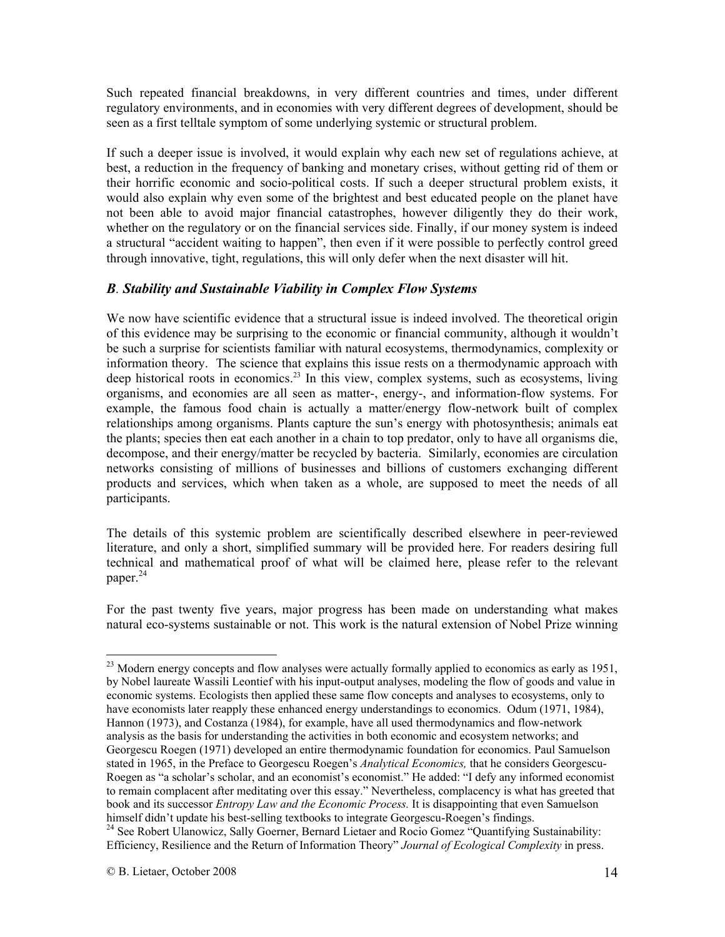Such repeated financial breakdowns, in very different countries and times, under different regulatory environments, and in economies with very different degrees of development, should be seen as a first telltale symptom of some underlying systemic or structural problem.

If such a deeper issue is involved, it would explain why each new set of regulations achieve, at best, a reduction in the frequency of banking and monetary crises, without getting rid of them or their horrific economic and socio-political costs. If such a deeper structural problem exists, it would also explain why even some of the brightest and best educated people on the planet have not been able to avoid major financial catastrophes, however diligently they do their work, whether on the regulatory or on the financial services side. Finally, if our money system is indeed a structural "accident waiting to happen", then even if it were possible to perfectly control greed through innovative, tight, regulations, this will only defer when the next disaster will hit.

#### *B. Stability and Sustainable Viability in Complex Flow Systems*

We now have scientific evidence that a structural issue is indeed involved. The theoretical origin of this evidence may be surprising to the economic or financial community, although it wouldn't be such a surprise for scientists familiar with natural ecosystems, thermodynamics, complexity or information theory. The science that explains this issue rests on a thermodynamic approach with deep historical roots in economics.<sup>23</sup> In this view, complex systems, such as ecosystems, living organisms, and economies are all seen as matter-, energy-, and information-flow systems. For example, the famous food chain is actually a matter/energy flow-network built of complex relationships among organisms. Plants capture the sun's energy with photosynthesis; animals eat the plants; species then eat each another in a chain to top predator, only to have all organisms die, decompose, and their energy/matter be recycled by bacteria. Similarly, economies are circulation networks consisting of millions of businesses and billions of customers exchanging different products and services, which when taken as a whole, are supposed to meet the needs of all participants.

The details of this systemic problem are scientifically described elsewhere in peer-reviewed literature, and only a short, simplified summary will be provided here. For readers desiring full technical and mathematical proof of what will be claimed here, please refer to the relevant paper.<sup>24</sup>

For the past twenty five years, major progress has been made on understanding what makes natural eco-systems sustainable or not. This work is the natural extension of Nobel Prize winning

<sup>&</sup>lt;sup>23</sup> Modern energy concepts and flow analyses were actually formally applied to economics as early as 1951, by Nobel laureate Wassili Leontief with his input-output analyses, modeling the flow of goods and value in economic systems. Ecologists then applied these same flow concepts and analyses to ecosystems, only to have economists later reapply these enhanced energy understandings to economics. Odum (1971, 1984), Hannon (1973), and Costanza (1984), for example, have all used thermodynamics and flow-network analysis as the basis for understanding the activities in both economic and ecosystem networks; and Georgescu Roegen (1971) developed an entire thermodynamic foundation for economics. Paul Samuelson stated in 1965, in the Preface to Georgescu Roegen's *Analytical Economics,* that he considers Georgescu-Roegen as "a scholar's scholar, and an economist's economist." He added: "I defy any informed economist to remain complacent after meditating over this essay." Nevertheless, complacency is what has greeted that book and its successor *Entropy Law and the Economic Process.* It is disappointing that even Samuelson himself didn't update his best-selling textbooks to integrate Georgescu-Roegen's findings.

<sup>&</sup>lt;sup>24</sup> See Robert Ulanowicz, Sally Goerner, Bernard Lietaer and Rocio Gomez "Quantifying Sustainability: Efficiency, Resilience and the Return of Information Theory" *Journal of Ecological Complexity* in press.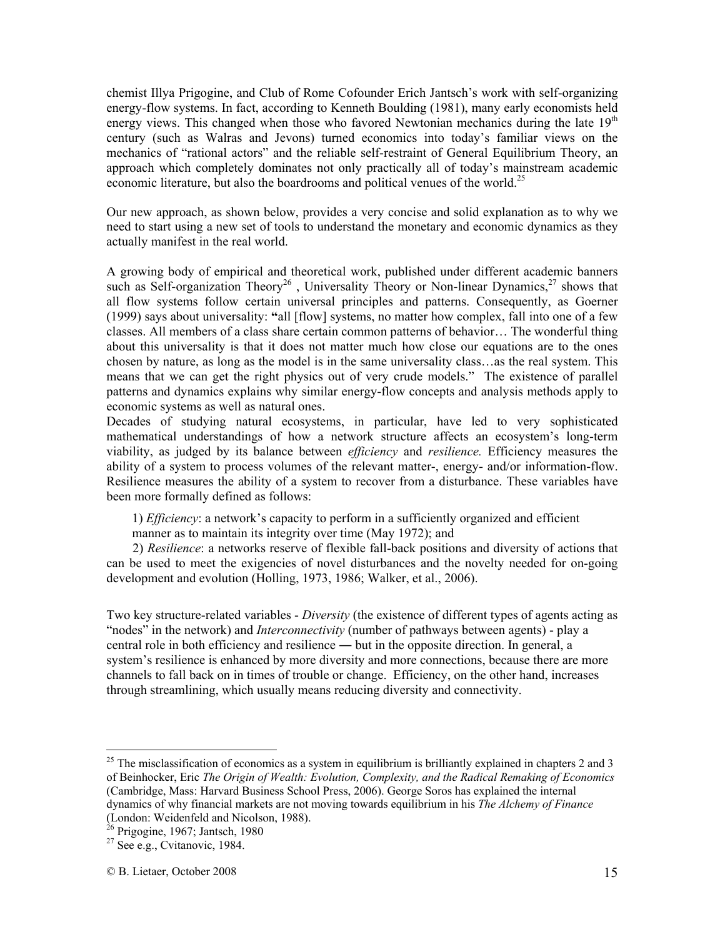chemist Illya Prigogine, and Club of Rome Cofounder Erich Jantsch's work with self-organizing energy-flow systems. In fact, according to Kenneth Boulding (1981), many early economists held energy views. This changed when those who favored Newtonian mechanics during the late  $19<sup>th</sup>$ century (such as Walras and Jevons) turned economics into today's familiar views on the mechanics of "rational actors" and the reliable self-restraint of General Equilibrium Theory, an approach which completely dominates not only practically all of today's mainstream academic economic literature, but also the boardrooms and political venues of the world.<sup>25</sup>

Our new approach, as shown below, provides a very concise and solid explanation as to why we need to start using a new set of tools to understand the monetary and economic dynamics as they actually manifest in the real world.

A growing body of empirical and theoretical work, published under different academic banners such as Self-organization Theory<sup>26</sup>, Universality Theory or Non-linear Dynamics,<sup>27</sup> shows that all flow systems follow certain universal principles and patterns. Consequently, as Goerner (1999) says about universality: **"**all [flow] systems, no matter how complex, fall into one of a few classes. All members of a class share certain common patterns of behavior… The wonderful thing about this universality is that it does not matter much how close our equations are to the ones chosen by nature, as long as the model is in the same universality class…as the real system. This means that we can get the right physics out of very crude models." The existence of parallel patterns and dynamics explains why similar energy-flow concepts and analysis methods apply to economic systems as well as natural ones.

Decades of studying natural ecosystems, in particular, have led to very sophisticated mathematical understandings of how a network structure affects an ecosystem's long-term viability, as judged by its balance between *efficiency* and *resilience.* Efficiency measures the ability of a system to process volumes of the relevant matter-, energy- and/or information-flow. Resilience measures the ability of a system to recover from a disturbance. These variables have been more formally defined as follows:

1) *Efficiency*: a network's capacity to perform in a sufficiently organized and efficient manner as to maintain its integrity over time (May 1972); and

 2) *Resilience*: a networks reserve of flexible fall-back positions and diversity of actions that can be used to meet the exigencies of novel disturbances and the novelty needed for on-going development and evolution (Holling, 1973, 1986; Walker, et al., 2006).

Two key structure-related variables - *Diversity* (the existence of different types of agents acting as "nodes" in the network) and *Interconnectivity* (number of pathways between agents) - play a central role in both efficiency and resilience ― but in the opposite direction. In general, a system's resilience is enhanced by more diversity and more connections, because there are more channels to fall back on in times of trouble or change. Efficiency, on the other hand, increases through streamlining, which usually means reducing diversity and connectivity.

 $25$  The misclassification of economics as a system in equilibrium is brilliantly explained in chapters 2 and 3 of Beinhocker, Eric *The Origin of Wealth: Evolution, Complexity, and the Radical Remaking of Economics*  (Cambridge, Mass: Harvard Business School Press, 2006). George Soros has explained the internal dynamics of why financial markets are not moving towards equilibrium in his *The Alchemy of Finance*  (London: Weidenfeld and Nicolson, 1988).

 $26$  Prigogine, 1967; Jantsch, 1980

 $27$  See e.g., Cvitanovic, 1984.

<sup>©</sup> B. Lietaer, October 2008 15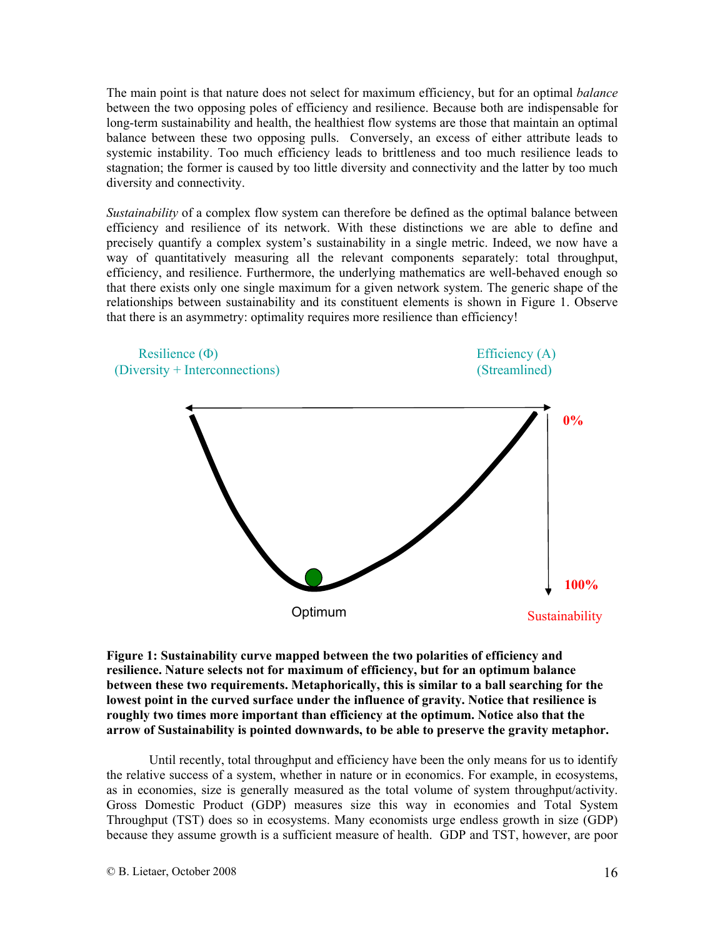The main point is that nature does not select for maximum efficiency, but for an optimal *balance* between the two opposing poles of efficiency and resilience. Because both are indispensable for long-term sustainability and health, the healthiest flow systems are those that maintain an optimal balance between these two opposing pulls. Conversely, an excess of either attribute leads to systemic instability. Too much efficiency leads to brittleness and too much resilience leads to stagnation; the former is caused by too little diversity and connectivity and the latter by too much diversity and connectivity.

*Sustainability* of a complex flow system can therefore be defined as the optimal balance between efficiency and resilience of its network. With these distinctions we are able to define and precisely quantify a complex system's sustainability in a single metric. Indeed, we now have a way of quantitatively measuring all the relevant components separately: total throughput, efficiency, and resilience. Furthermore, the underlying mathematics are well-behaved enough so that there exists only one single maximum for a given network system. The generic shape of the relationships between sustainability and its constituent elements is shown in Figure 1. Observe that there is an asymmetry: optimality requires more resilience than efficiency!



**Figure 1: Sustainability curve mapped between the two polarities of efficiency and resilience. Nature selects not for maximum of efficiency, but for an optimum balance between these two requirements. Metaphorically, this is similar to a ball searching for the lowest point in the curved surface under the influence of gravity. Notice that resilience is roughly two times more important than efficiency at the optimum. Notice also that the arrow of Sustainability is pointed downwards, to be able to preserve the gravity metaphor.** 

Until recently, total throughput and efficiency have been the only means for us to identify the relative success of a system, whether in nature or in economics. For example, in ecosystems, as in economies, size is generally measured as the total volume of system throughput/activity. Gross Domestic Product (GDP) measures size this way in economies and Total System Throughput (TST) does so in ecosystems. Many economists urge endless growth in size (GDP) because they assume growth is a sufficient measure of health. GDP and TST, however, are poor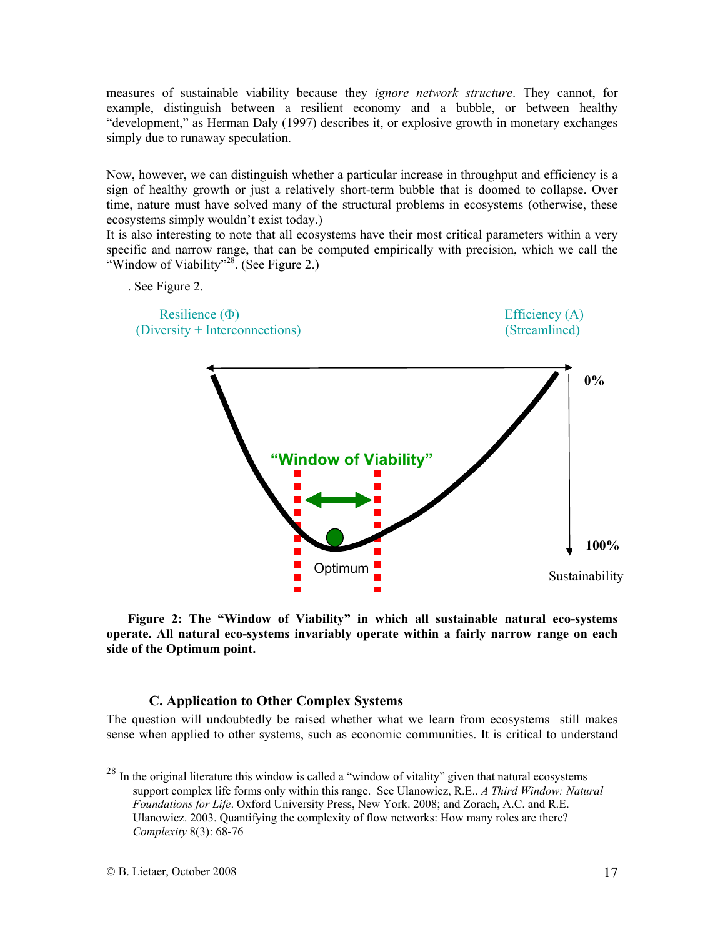measures of sustainable viability because they *ignore network structure*. They cannot, for example, distinguish between a resilient economy and a bubble, or between healthy "development," as Herman Daly (1997) describes it, or explosive growth in monetary exchanges simply due to runaway speculation.

Now, however, we can distinguish whether a particular increase in throughput and efficiency is a sign of healthy growth or just a relatively short-term bubble that is doomed to collapse. Over time, nature must have solved many of the structural problems in ecosystems (otherwise, these ecosystems simply wouldn't exist today.)

It is also interesting to note that all ecosystems have their most critical parameters within a very specific and narrow range, that can be computed empirically with precision, which we call the "Window of Viability"<sup>28</sup>. (See Figure 2.)



**Figure 2: The "Window of Viability" in which all sustainable natural eco-systems operate. All natural eco-systems invariably operate within a fairly narrow range on each side of the Optimum point.** 

#### **C. Application to Other Complex Systems**

The question will undoubtedly be raised whether what we learn from ecosystems still makes sense when applied to other systems, such as economic communities. It is critical to understand

 $^{28}$  In the original literature this window is called a "window of vitality" given that natural ecosystems support complex life forms only within this range. See Ulanowicz, R.E.. *A Third Window: Natural Foundations for Life*. Oxford University Press, New York. 2008; and Zorach, A.C. and R.E. Ulanowicz. 2003. Quantifying the complexity of flow networks: How many roles are there? *Complexity* 8(3): 68-76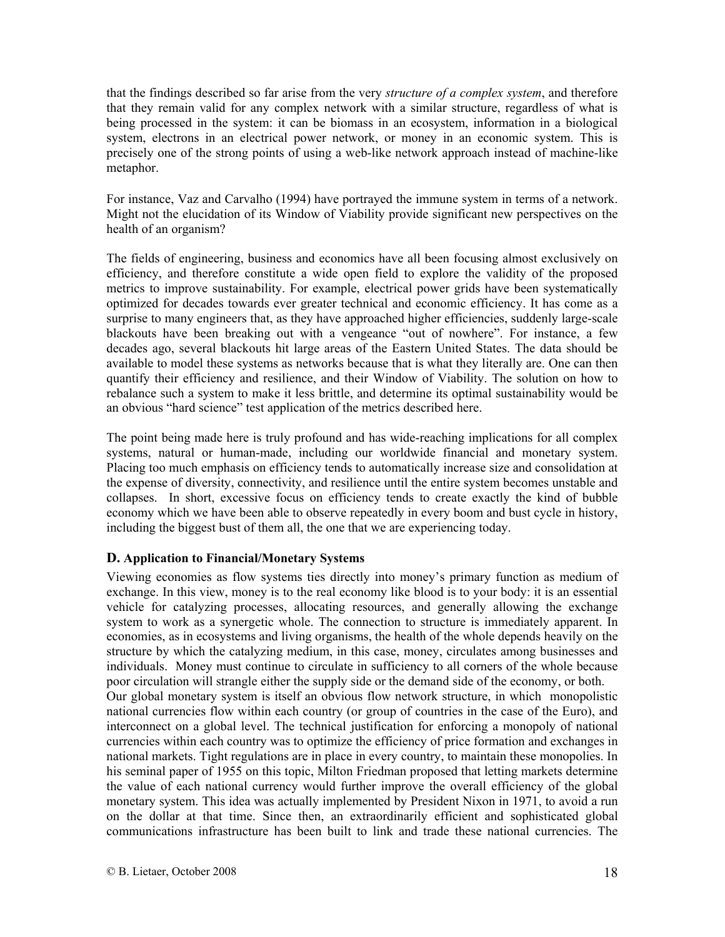that the findings described so far arise from the very *structure of a complex system*, and therefore that they remain valid for any complex network with a similar structure, regardless of what is being processed in the system: it can be biomass in an ecosystem, information in a biological system, electrons in an electrical power network, or money in an economic system. This is precisely one of the strong points of using a web-like network approach instead of machine-like metaphor.

For instance, Vaz and Carvalho (1994) have portrayed the immune system in terms of a network. Might not the elucidation of its Window of Viability provide significant new perspectives on the health of an organism?

The fields of engineering, business and economics have all been focusing almost exclusively on efficiency, and therefore constitute a wide open field to explore the validity of the proposed metrics to improve sustainability. For example, electrical power grids have been systematically optimized for decades towards ever greater technical and economic efficiency. It has come as a surprise to many engineers that, as they have approached higher efficiencies, suddenly large-scale blackouts have been breaking out with a vengeance "out of nowhere". For instance, a few decades ago, several blackouts hit large areas of the Eastern United States. The data should be available to model these systems as networks because that is what they literally are. One can then quantify their efficiency and resilience, and their Window of Viability. The solution on how to rebalance such a system to make it less brittle, and determine its optimal sustainability would be an obvious "hard science" test application of the metrics described here.

The point being made here is truly profound and has wide-reaching implications for all complex systems, natural or human-made, including our worldwide financial and monetary system. Placing too much emphasis on efficiency tends to automatically increase size and consolidation at the expense of diversity, connectivity, and resilience until the entire system becomes unstable and collapses. In short, excessive focus on efficiency tends to create exactly the kind of bubble economy which we have been able to observe repeatedly in every boom and bust cycle in history, including the biggest bust of them all, the one that we are experiencing today.

#### **D. Application to Financial/Monetary Systems**

Viewing economies as flow systems ties directly into money's primary function as medium of exchange. In this view, money is to the real economy like blood is to your body: it is an essential vehicle for catalyzing processes, allocating resources, and generally allowing the exchange system to work as a synergetic whole. The connection to structure is immediately apparent. In economies, as in ecosystems and living organisms, the health of the whole depends heavily on the structure by which the catalyzing medium, in this case, money, circulates among businesses and individuals. Money must continue to circulate in sufficiency to all corners of the whole because poor circulation will strangle either the supply side or the demand side of the economy, or both. Our global monetary system is itself an obvious flow network structure, in which monopolistic national currencies flow within each country (or group of countries in the case of the Euro), and interconnect on a global level. The technical justification for enforcing a monopoly of national currencies within each country was to optimize the efficiency of price formation and exchanges in national markets. Tight regulations are in place in every country, to maintain these monopolies. In his seminal paper of 1955 on this topic, Milton Friedman proposed that letting markets determine the value of each national currency would further improve the overall efficiency of the global monetary system. This idea was actually implemented by President Nixon in 1971, to avoid a run on the dollar at that time. Since then, an extraordinarily efficient and sophisticated global communications infrastructure has been built to link and trade these national currencies. The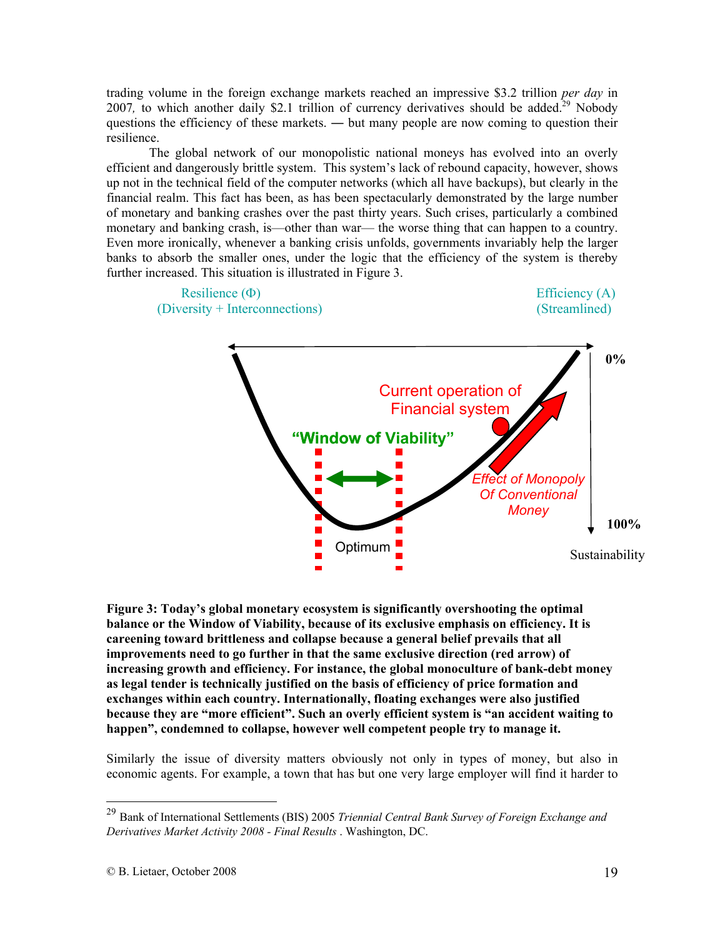trading volume in the foreign exchange markets reached an impressive \$3.2 trillion *per day* in 2007, to which another daily \$2.1 trillion of currency derivatives should be added.<sup>29</sup> Nobody questions the efficiency of these markets. ― but many people are now coming to question their resilience.

The global network of our monopolistic national moneys has evolved into an overly efficient and dangerously brittle system. This system's lack of rebound capacity, however, shows up not in the technical field of the computer networks (which all have backups), but clearly in the financial realm. This fact has been, as has been spectacularly demonstrated by the large number of monetary and banking crashes over the past thirty years. Such crises, particularly a combined monetary and banking crash, is—other than war— the worse thing that can happen to a country. Even more ironically, whenever a banking crisis unfolds, governments invariably help the larger banks to absorb the smaller ones, under the logic that the efficiency of the system is thereby further increased. This situation is illustrated in Figure 3.



**Figure 3: Today's global monetary ecosystem is significantly overshooting the optimal balance or the Window of Viability, because of its exclusive emphasis on efficiency. It is careening toward brittleness and collapse because a general belief prevails that all improvements need to go further in that the same exclusive direction (red arrow) of increasing growth and efficiency. For instance, the global monoculture of bank-debt money as legal tender is technically justified on the basis of efficiency of price formation and exchanges within each country. Internationally, floating exchanges were also justified because they are "more efficient". Such an overly efficient system is "an accident waiting to happen", condemned to collapse, however well competent people try to manage it.** 

Similarly the issue of diversity matters obviously not only in types of money, but also in economic agents. For example, a town that has but one very large employer will find it harder to

<sup>29</sup> Bank of International Settlements (BIS) 2005 *Triennial Central Bank Survey of Foreign Exchange and Derivatives Market Activity 2008 - Final Results* . Washington, DC.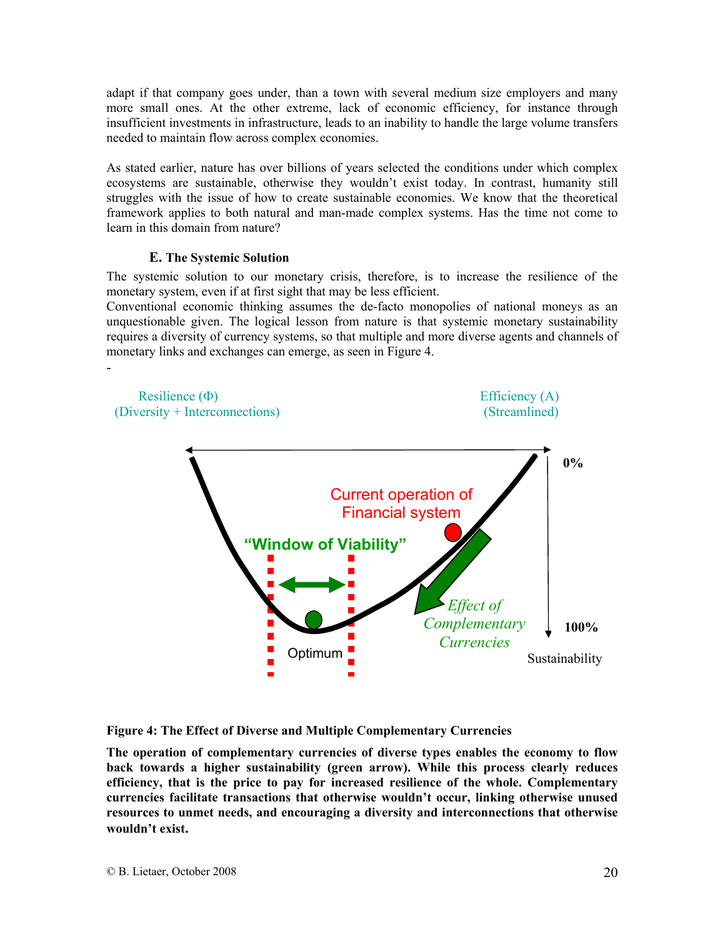adapt if that company goes under, than a town with several medium size employers and many more small ones. At the other extreme, lack of economic efficiency, for instance through insufficient investments in infrastructure, leads to an inability to handle the large volume transfers needed to maintain flow across complex economies.

As stated earlier, nature has over billions of years selected the conditions under which complex ecosystems are sustainable, otherwise they wouldn't exist today. In contrast, humanity still struggles with the issue of how to create sustainable economies. We know that the theoretical framework applies to both natural and man-made complex systems. Has the time not come to learn in this domain from nature?

#### **E. The Systemic Solution**

-

The systemic solution to our monetary crisis, therefore, is to increase the resilience of the monetary system, even if at first sight that may be less efficient.

Conventional economic thinking assumes the de-facto monopolies of national moneys as an unquestionable given. The logical lesson from nature is that systemic monetary sustainability requires a diversity of currency systems, so that multiple and more diverse agents and channels of monetary links and exchanges can emerge, as seen in Figure 4.

*Effect of Complementary Currencies* Current operation of Financial system Optimum **"Window of Viability"**  Resilience (Φ) Efficiency (A) (Diversity + Interconnections) (Streamlined) Sustainability **0% 100%**

**Figure 4: The Effect of Diverse and Multiple Complementary Currencies**

**The operation of complementary currencies of diverse types enables the economy to flow back towards a higher sustainability (green arrow). While this process clearly reduces efficiency, that is the price to pay for increased resilience of the whole. Complementary currencies facilitate transactions that otherwise wouldn't occur, linking otherwise unused resources to unmet needs, and encouraging a diversity and interconnections that otherwise wouldn't exist.**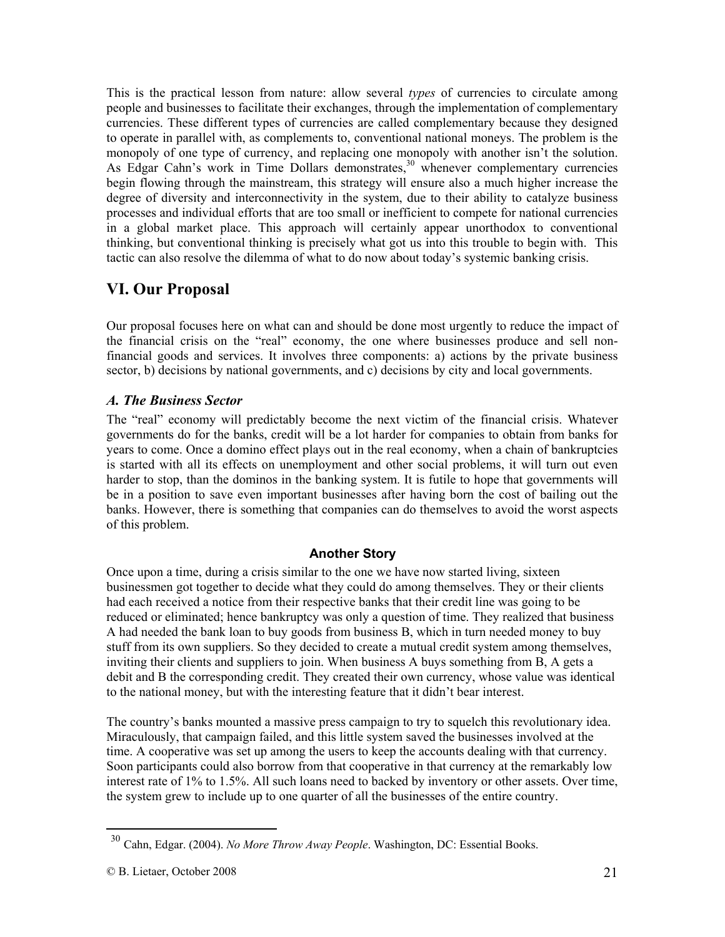This is the practical lesson from nature: allow several *types* of currencies to circulate among people and businesses to facilitate their exchanges, through the implementation of complementary currencies. These different types of currencies are called complementary because they designed to operate in parallel with, as complements to, conventional national moneys. The problem is the monopoly of one type of currency, and replacing one monopoly with another isn't the solution. As Edgar Cahn's work in Time Dollars demonstrates,<sup>30</sup> whenever complementary currencies begin flowing through the mainstream, this strategy will ensure also a much higher increase the degree of diversity and interconnectivity in the system, due to their ability to catalyze business processes and individual efforts that are too small or inefficient to compete for national currencies in a global market place. This approach will certainly appear unorthodox to conventional thinking, but conventional thinking is precisely what got us into this trouble to begin with. This tactic can also resolve the dilemma of what to do now about today's systemic banking crisis.

### **VI. Our Proposal**

Our proposal focuses here on what can and should be done most urgently to reduce the impact of the financial crisis on the "real" economy, the one where businesses produce and sell nonfinancial goods and services. It involves three components: a) actions by the private business sector, b) decisions by national governments, and c) decisions by city and local governments.

#### *A. The Business Sector*

The "real" economy will predictably become the next victim of the financial crisis. Whatever governments do for the banks, credit will be a lot harder for companies to obtain from banks for years to come. Once a domino effect plays out in the real economy, when a chain of bankruptcies is started with all its effects on unemployment and other social problems, it will turn out even harder to stop, than the dominos in the banking system. It is futile to hope that governments will be in a position to save even important businesses after having born the cost of bailing out the banks. However, there is something that companies can do themselves to avoid the worst aspects of this problem.

#### **Another Story**

Once upon a time, during a crisis similar to the one we have now started living, sixteen businessmen got together to decide what they could do among themselves. They or their clients had each received a notice from their respective banks that their credit line was going to be reduced or eliminated; hence bankruptcy was only a question of time. They realized that business A had needed the bank loan to buy goods from business B, which in turn needed money to buy stuff from its own suppliers. So they decided to create a mutual credit system among themselves, inviting their clients and suppliers to join. When business A buys something from B, A gets a debit and B the corresponding credit. They created their own currency, whose value was identical to the national money, but with the interesting feature that it didn't bear interest.

The country's banks mounted a massive press campaign to try to squelch this revolutionary idea. Miraculously, that campaign failed, and this little system saved the businesses involved at the time. A cooperative was set up among the users to keep the accounts dealing with that currency. Soon participants could also borrow from that cooperative in that currency at the remarkably low interest rate of 1% to 1.5%. All such loans need to backed by inventory or other assets. Over time, the system grew to include up to one quarter of all the businesses of the entire country.

<sup>30</sup> Cahn, Edgar. (2004). *No More Throw Away People*. Washington, DC: Essential Books.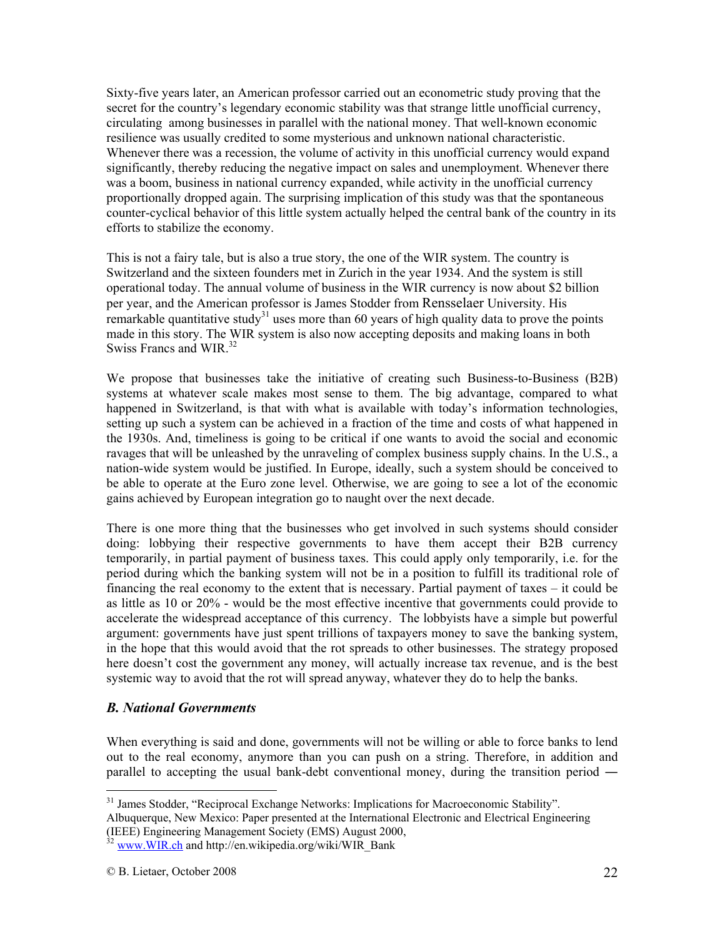Sixty-five years later, an American professor carried out an econometric study proving that the secret for the country's legendary economic stability was that strange little unofficial currency, circulating among businesses in parallel with the national money. That well-known economic resilience was usually credited to some mysterious and unknown national characteristic. Whenever there was a recession, the volume of activity in this unofficial currency would expand significantly, thereby reducing the negative impact on sales and unemployment. Whenever there was a boom, business in national currency expanded, while activity in the unofficial currency proportionally dropped again. The surprising implication of this study was that the spontaneous counter-cyclical behavior of this little system actually helped the central bank of the country in its efforts to stabilize the economy.

This is not a fairy tale, but is also a true story, the one of the WIR system. The country is Switzerland and the sixteen founders met in Zurich in the year 1934. And the system is still operational today. The annual volume of business in the WIR currency is now about \$2 billion per year, and the American professor is James Stodder from Rensselaer University. His remarkable quantitative study<sup>31</sup> uses more than 60 years of high quality data to prove the points made in this story. The WIR system is also now accepting deposits and making loans in both Swiss Francs and WIR.<sup>32</sup>

We propose that businesses take the initiative of creating such Business-to-Business (B2B) systems at whatever scale makes most sense to them. The big advantage, compared to what happened in Switzerland, is that with what is available with today's information technologies, setting up such a system can be achieved in a fraction of the time and costs of what happened in the 1930s. And, timeliness is going to be critical if one wants to avoid the social and economic ravages that will be unleashed by the unraveling of complex business supply chains. In the U.S., a nation-wide system would be justified. In Europe, ideally, such a system should be conceived to be able to operate at the Euro zone level. Otherwise, we are going to see a lot of the economic gains achieved by European integration go to naught over the next decade.

There is one more thing that the businesses who get involved in such systems should consider doing: lobbying their respective governments to have them accept their B2B currency temporarily, in partial payment of business taxes. This could apply only temporarily, i.e. for the period during which the banking system will not be in a position to fulfill its traditional role of financing the real economy to the extent that is necessary. Partial payment of taxes – it could be as little as 10 or 20% - would be the most effective incentive that governments could provide to accelerate the widespread acceptance of this currency. The lobbyists have a simple but powerful argument: governments have just spent trillions of taxpayers money to save the banking system, in the hope that this would avoid that the rot spreads to other businesses. The strategy proposed here doesn't cost the government any money, will actually increase tax revenue, and is the best systemic way to avoid that the rot will spread anyway, whatever they do to help the banks.

#### *B. National Governments*

When everything is said and done, governments will not be willing or able to force banks to lend out to the real economy, anymore than you can push on a string. Therefore, in addition and parallel to accepting the usual bank-debt conventional money, during the transition period ―

<sup>&</sup>lt;sup>31</sup> James Stodder, "Reciprocal Exchange Networks: Implications for Macroeconomic Stability".

Albuquerque, New Mexico: Paper presented at the International Electronic and Electrical Engineering (IEEE) Engineering Management Society (EMS) August 2000,

www.WIR.ch and http://en.wikipedia.org/wiki/WIR\_Bank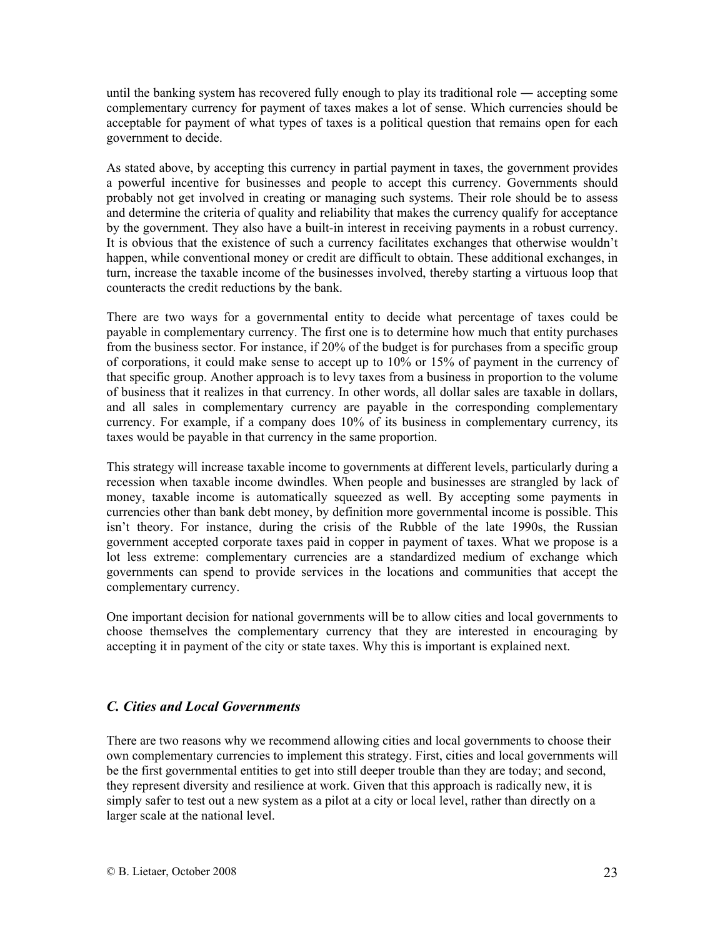until the banking system has recovered fully enough to play its traditional role ― accepting some complementary currency for payment of taxes makes a lot of sense. Which currencies should be acceptable for payment of what types of taxes is a political question that remains open for each government to decide.

As stated above, by accepting this currency in partial payment in taxes, the government provides a powerful incentive for businesses and people to accept this currency. Governments should probably not get involved in creating or managing such systems. Their role should be to assess and determine the criteria of quality and reliability that makes the currency qualify for acceptance by the government. They also have a built-in interest in receiving payments in a robust currency. It is obvious that the existence of such a currency facilitates exchanges that otherwise wouldn't happen, while conventional money or credit are difficult to obtain. These additional exchanges, in turn, increase the taxable income of the businesses involved, thereby starting a virtuous loop that counteracts the credit reductions by the bank.

There are two ways for a governmental entity to decide what percentage of taxes could be payable in complementary currency. The first one is to determine how much that entity purchases from the business sector. For instance, if 20% of the budget is for purchases from a specific group of corporations, it could make sense to accept up to 10% or 15% of payment in the currency of that specific group. Another approach is to levy taxes from a business in proportion to the volume of business that it realizes in that currency. In other words, all dollar sales are taxable in dollars, and all sales in complementary currency are payable in the corresponding complementary currency. For example, if a company does 10% of its business in complementary currency, its taxes would be payable in that currency in the same proportion.

This strategy will increase taxable income to governments at different levels, particularly during a recession when taxable income dwindles. When people and businesses are strangled by lack of money, taxable income is automatically squeezed as well. By accepting some payments in currencies other than bank debt money, by definition more governmental income is possible. This isn't theory. For instance, during the crisis of the Rubble of the late 1990s, the Russian government accepted corporate taxes paid in copper in payment of taxes. What we propose is a lot less extreme: complementary currencies are a standardized medium of exchange which governments can spend to provide services in the locations and communities that accept the complementary currency.

One important decision for national governments will be to allow cities and local governments to choose themselves the complementary currency that they are interested in encouraging by accepting it in payment of the city or state taxes. Why this is important is explained next.

#### *C. Cities and Local Governments*

There are two reasons why we recommend allowing cities and local governments to choose their own complementary currencies to implement this strategy. First, cities and local governments will be the first governmental entities to get into still deeper trouble than they are today; and second, they represent diversity and resilience at work. Given that this approach is radically new, it is simply safer to test out a new system as a pilot at a city or local level, rather than directly on a larger scale at the national level.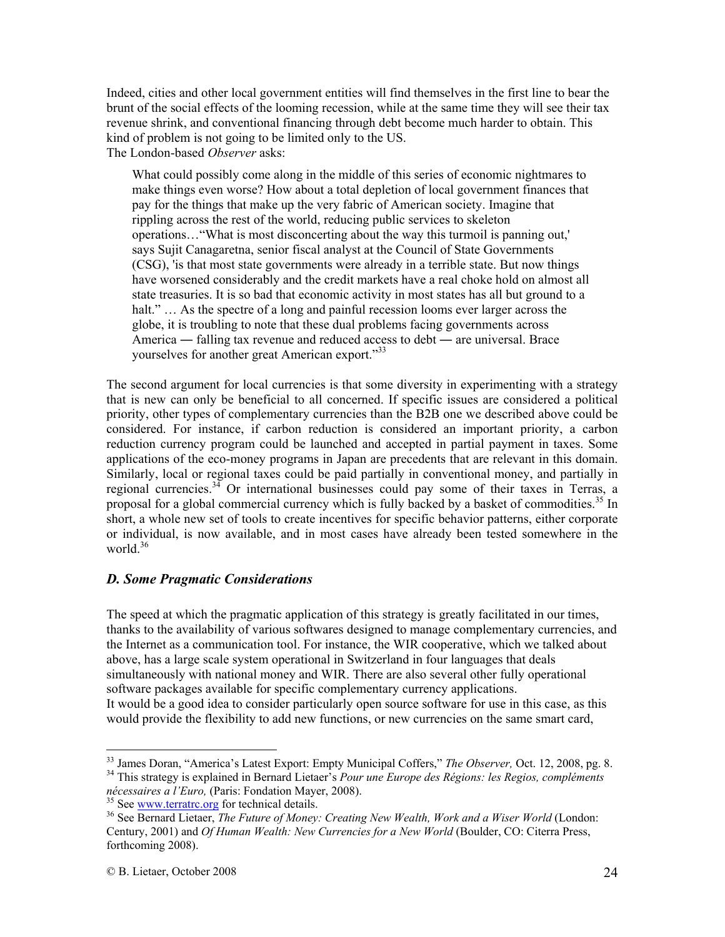Indeed, cities and other local government entities will find themselves in the first line to bear the brunt of the social effects of the looming recession, while at the same time they will see their tax revenue shrink, and conventional financing through debt become much harder to obtain. This kind of problem is not going to be limited only to the US. The London-based *Observer* asks:

What could possibly come along in the middle of this series of economic nightmares to make things even worse? How about a total depletion of local government finances that pay for the things that make up the very fabric of American society. Imagine that rippling across the rest of the world, reducing public services to skeleton operations…"What is most disconcerting about the way this turmoil is panning out,' says Sujit Canagaretna, senior fiscal analyst at the Council of State Governments (CSG), 'is that most state governments were already in a terrible state. But now things have worsened considerably and the credit markets have a real choke hold on almost all state treasuries. It is so bad that economic activity in most states has all but ground to a halt."  $\ldots$  As the spectre of a long and painful recession looms ever larger across the globe, it is troubling to note that these dual problems facing governments across America ― falling tax revenue and reduced access to debt ― are universal. Brace yourselves for another great American export."<sup>33</sup>

The second argument for local currencies is that some diversity in experimenting with a strategy that is new can only be beneficial to all concerned. If specific issues are considered a political priority, other types of complementary currencies than the B2B one we described above could be considered. For instance, if carbon reduction is considered an important priority, a carbon reduction currency program could be launched and accepted in partial payment in taxes. Some applications of the eco-money programs in Japan are precedents that are relevant in this domain. Similarly, local or regional taxes could be paid partially in conventional money, and partially in regional currencies.<sup>34</sup> Or international businesses could pay some of their taxes in Terras, a proposal for a global commercial currency which is fully backed by a basket of commodities.<sup>35</sup> In short, a whole new set of tools to create incentives for specific behavior patterns, either corporate or individual, is now available, and in most cases have already been tested somewhere in the world. $36$ 

#### *D. Some Pragmatic Considerations*

The speed at which the pragmatic application of this strategy is greatly facilitated in our times, thanks to the availability of various softwares designed to manage complementary currencies, and the Internet as a communication tool. For instance, the WIR cooperative, which we talked about above, has a large scale system operational in Switzerland in four languages that deals simultaneously with national money and WIR. There are also several other fully operational software packages available for specific complementary currency applications. It would be a good idea to consider particularly open source software for use in this case, as this would provide the flexibility to add new functions, or new currencies on the same smart card,

<sup>&</sup>lt;sup>33</sup> James Doran, "America's Latest Export: Empty Municipal Coffers," The Observer, Oct. 12, 2008, pg. 8.  $34$  This strategy is explained in Bernard Lietaer's Pour une Europe des Régions: les Regios, compléments nécessaires a l'Euro, (Paris: Fondation Mayer, 2008).

<sup>&</sup>lt;sup>35</sup> See <u>www.terratrc.org</u> for technical details.<br><sup>36</sup> See Bernard Lietaer, *The Future of Money: Creating New Wealth, Work and a Wiser World (London:* Century, 2001) and *Of Human Wealth: New Currencies for a New World* (Boulder, CO: Citerra Press, forthcoming 2008).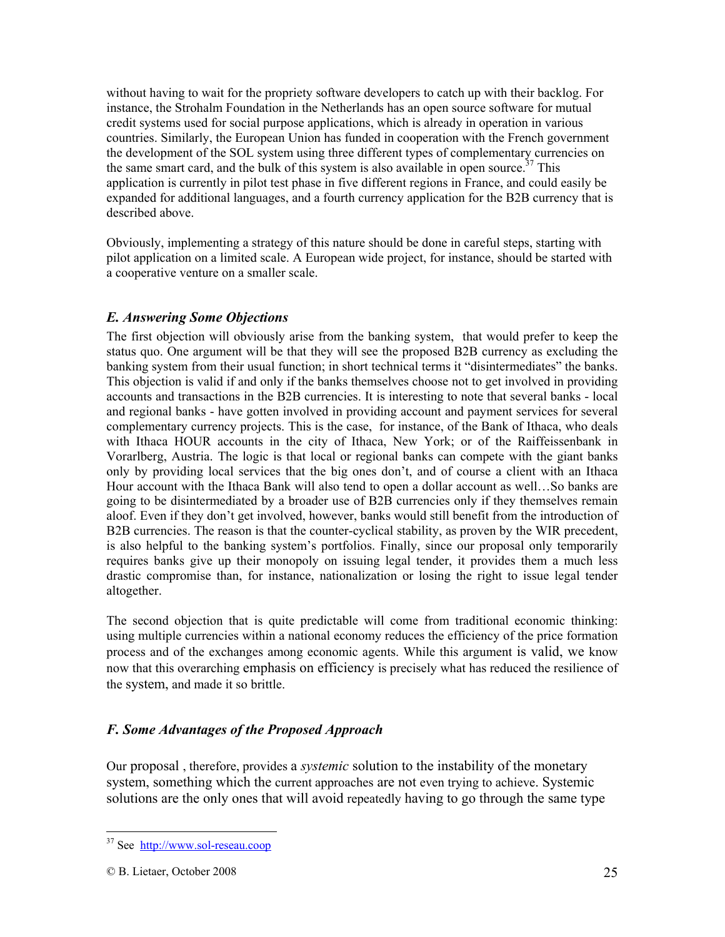without having to wait for the propriety software developers to catch up with their backlog. For instance, the Strohalm Foundation in the Netherlands has an open source software for mutual credit systems used for social purpose applications, which is already in operation in various countries. Similarly, the European Union has funded in cooperation with the French government the development of the SOL system using three different types of complementary currencies on the same smart card, and the bulk of this system is also available in open source.<sup>37</sup> This application is currently in pilot test phase in five different regions in France, and could easily be expanded for additional languages, and a fourth currency application for the B2B currency that is described above.

Obviously, implementing a strategy of this nature should be done in careful steps, starting with pilot application on a limited scale. A European wide project, for instance, should be started with a cooperative venture on a smaller scale.

#### *E. Answering Some Objections*

The first objection will obviously arise from the banking system, that would prefer to keep the status quo. One argument will be that they will see the proposed B2B currency as excluding the banking system from their usual function; in short technical terms it "disintermediates" the banks. This objection is valid if and only if the banks themselves choose not to get involved in providing accounts and transactions in the B2B currencies. It is interesting to note that several banks - local and regional banks - have gotten involved in providing account and payment services for several complementary currency projects. This is the case, for instance, of the Bank of Ithaca, who deals with Ithaca HOUR accounts in the city of Ithaca, New York; or of the Raiffeissenbank in Vorarlberg, Austria. The logic is that local or regional banks can compete with the giant banks only by providing local services that the big ones don't, and of course a client with an Ithaca Hour account with the Ithaca Bank will also tend to open a dollar account as well…So banks are going to be disintermediated by a broader use of B2B currencies only if they themselves remain aloof. Even if they don't get involved, however, banks would still benefit from the introduction of B2B currencies. The reason is that the counter-cyclical stability, as proven by the WIR precedent, is also helpful to the banking system's portfolios. Finally, since our proposal only temporarily requires banks give up their monopoly on issuing legal tender, it provides them a much less drastic compromise than, for instance, nationalization or losing the right to issue legal tender altogether.

The second objection that is quite predictable will come from traditional economic thinking: using multiple currencies within a national economy reduces the efficiency of the price formation process and of the exchanges among economic agents. While this argument is valid, we know now that this overarching emphasis on efficiency is precisely what has reduced the resilience of the system, and made it so brittle.

#### *F. Some Advantages of the Proposed Approach*

Our proposal , therefore, provides a *systemic* solution to the instability of the monetary system, something which the current approaches are not even trying to achieve. Systemic solutions are the only ones that will avoid repeatedly having to go through the same type

<u>.</u>

<sup>37</sup> See http://www.sol-reseau.coop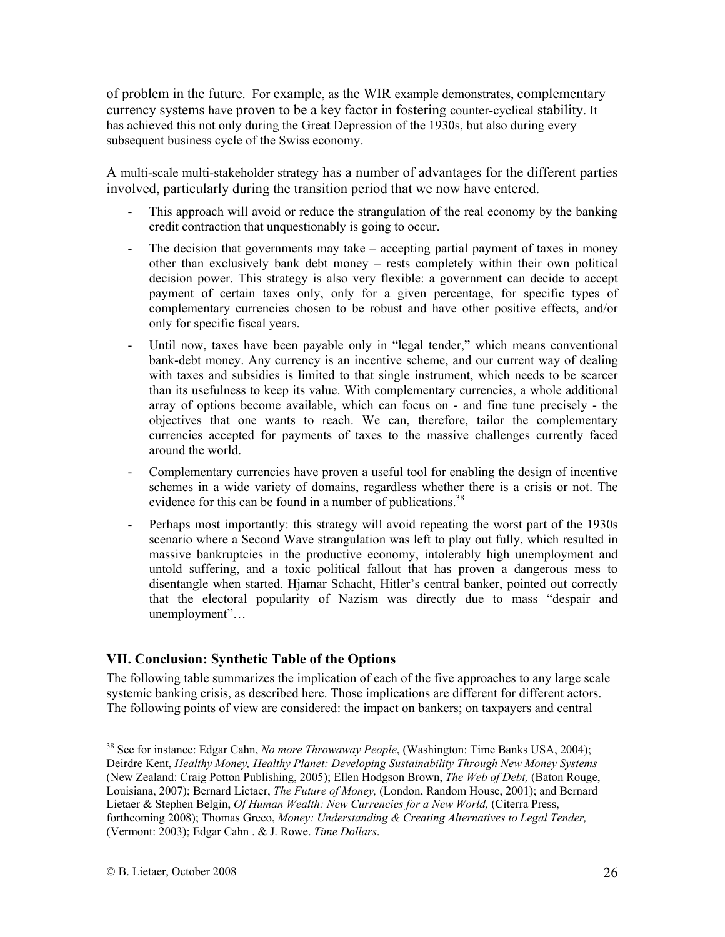of problem in the future. For example, as the WIR example demonstrates, complementary currency systems have proven to be a key factor in fostering counter-cyclical stability. It has achieved this not only during the Great Depression of the 1930s, but also during every subsequent business cycle of the Swiss economy.

A multi-scale multi-stakeholder strategy has a number of advantages for the different parties involved, particularly during the transition period that we now have entered.

- This approach will avoid or reduce the strangulation of the real economy by the banking credit contraction that unquestionably is going to occur.
- The decision that governments may take accepting partial payment of taxes in money other than exclusively bank debt money – rests completely within their own political decision power. This strategy is also very flexible: a government can decide to accept payment of certain taxes only, only for a given percentage, for specific types of complementary currencies chosen to be robust and have other positive effects, and/or only for specific fiscal years.
- Until now, taxes have been payable only in "legal tender," which means conventional bank-debt money. Any currency is an incentive scheme, and our current way of dealing with taxes and subsidies is limited to that single instrument, which needs to be scarcer than its usefulness to keep its value. With complementary currencies, a whole additional array of options become available, which can focus on - and fine tune precisely - the objectives that one wants to reach. We can, therefore, tailor the complementary currencies accepted for payments of taxes to the massive challenges currently faced around the world.
- Complementary currencies have proven a useful tool for enabling the design of incentive schemes in a wide variety of domains, regardless whether there is a crisis or not. The evidence for this can be found in a number of publications.<sup>38</sup>
- Perhaps most importantly: this strategy will avoid repeating the worst part of the 1930s scenario where a Second Wave strangulation was left to play out fully, which resulted in massive bankruptcies in the productive economy, intolerably high unemployment and untold suffering, and a toxic political fallout that has proven a dangerous mess to disentangle when started. Hjamar Schacht, Hitler's central banker, pointed out correctly that the electoral popularity of Nazism was directly due to mass "despair and unemployment"…

#### **VII. Conclusion: Synthetic Table of the Options**

The following table summarizes the implication of each of the five approaches to any large scale systemic banking crisis, as described here. Those implications are different for different actors. The following points of view are considered: the impact on bankers; on taxpayers and central

<sup>38</sup> See for instance: Edgar Cahn, *No more Throwaway People*, (Washington: Time Banks USA, 2004); Deirdre Kent, *Healthy Money, Healthy Planet: Developing Sustainability Through New Money Systems*  (New Zealand: Craig Potton Publishing, 2005); Ellen Hodgson Brown, *The Web of Debt,* (Baton Rouge, Louisiana, 2007); Bernard Lietaer, *The Future of Money,* (London, Random House, 2001); and Bernard Lietaer & Stephen Belgin, *Of Human Wealth: New Currencies for a New World,* (Citerra Press, forthcoming 2008); Thomas Greco, *Money: Understanding & Creating Alternatives to Legal Tender,* (Vermont: 2003); Edgar Cahn . & J. Rowe. *Time Dollars*.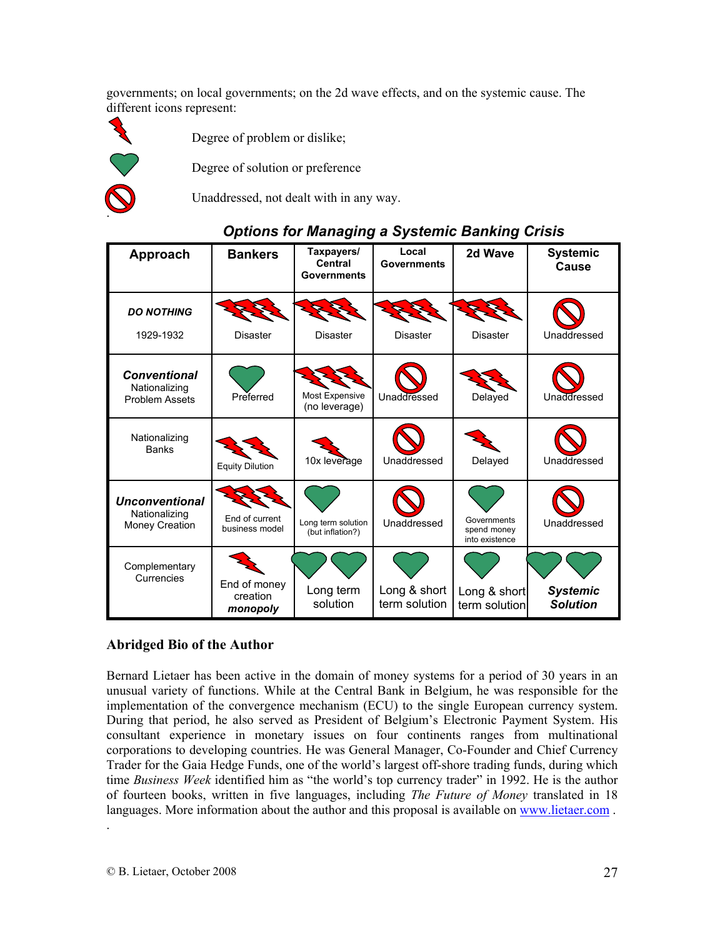governments; on local governments; on the 2d wave effects, and on the systemic cause. The different icons represent:



Degree of problem or dislike;

Degree of solution or preference

Unaddressed, not dealt with in any way.

| ophone for managing a operant Danking Uners                   |                                      |                                                    |                               |                                              |                                    |  |  |  |
|---------------------------------------------------------------|--------------------------------------|----------------------------------------------------|-------------------------------|----------------------------------------------|------------------------------------|--|--|--|
| Approach                                                      | <b>Bankers</b>                       | Taxpayers/<br><b>Central</b><br><b>Governments</b> | Local<br><b>Governments</b>   | 2d Wave                                      | <b>Systemic</b><br>Cause           |  |  |  |
| <b>DO NOTHING</b><br>1929-1932                                | <b>Disaster</b>                      | <b>Disaster</b>                                    | <b>Disaster</b>               | <b>Disaster</b>                              | Unaddressed                        |  |  |  |
| <b>Conventional</b><br>Nationalizing<br><b>Problem Assets</b> | Preferred                            | Most Expensive<br>(no leverage)                    | Unaddressed                   | Delayed                                      | Unaddressed                        |  |  |  |
| Nationalizing<br><b>Banks</b>                                 | <b>Equity Dilution</b>               | 10x leverage                                       | Unaddressed                   | Delayed                                      | Unaddressed                        |  |  |  |
| <b>Unconventional</b><br>Nationalizing<br>Money Creation      | End of current<br>business model     | Long term solution<br>(but inflation?)             | Unaddressed                   | Governments<br>spend money<br>into existence | Unaddressed                        |  |  |  |
| Complementary<br>Currencies                                   | End of money<br>creation<br>monopoly | Long term<br>solution                              | Long & short<br>term solution | Long & short<br>term solution                | <b>Systemic</b><br><b>Solution</b> |  |  |  |

#### **Abridged Bio of the Author**

Bernard Lietaer has been active in the domain of money systems for a period of 30 years in an unusual variety of functions. While at the Central Bank in Belgium, he was responsible for the implementation of the convergence mechanism (ECU) to the single European currency system. During that period, he also served as President of Belgium's Electronic Payment System. His consultant experience in monetary issues on four continents ranges from multinational corporations to developing countries. He was General Manager, Co-Founder and Chief Currency Trader for the Gaia Hedge Funds, one of the world's largest off-shore trading funds, during which time *Business Week* identified him as "the world's top currency trader" in 1992. He is the author of fourteen books, written in five languages, including *The Future of Money* translated in 18 languages. More information about the author and this proposal is available on www.lietaer.com .

.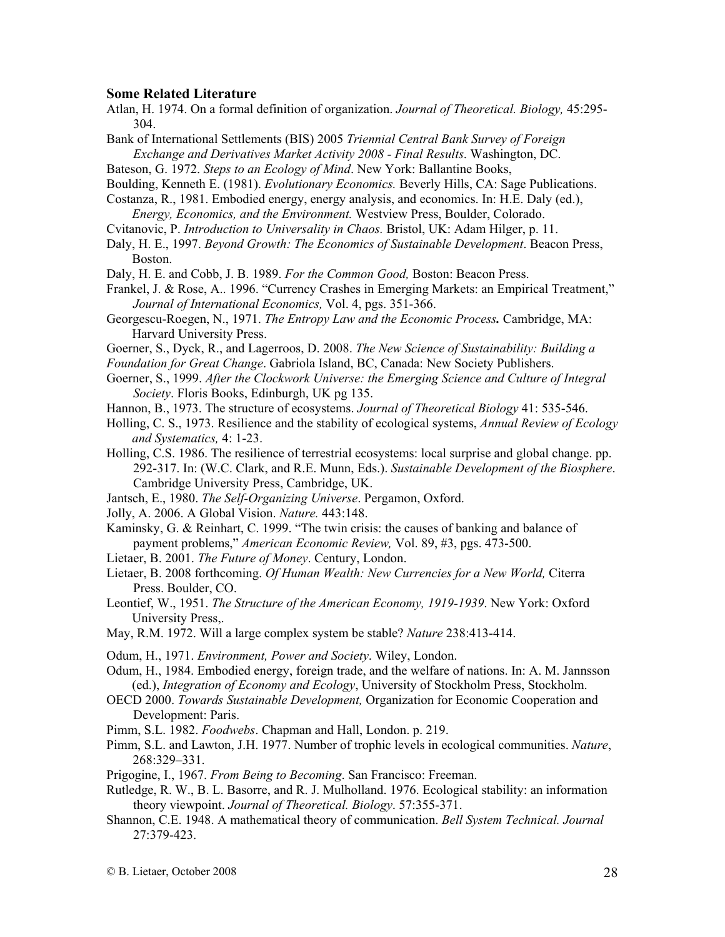#### **Some Related Literature**

- Atlan, H. 1974. On a formal definition of organization. *Journal of Theoretical. Biology,* 45:295- 304.
- Bank of International Settlements (BIS) 2005 *Triennial Central Bank Survey of Foreign Exchange and Derivatives Market Activity 2008 - Final Results*. Washington, DC.
- Bateson, G. 1972. *Steps to an Ecology of Mind*. New York: Ballantine Books,
- Boulding, Kenneth E. (1981). *Evolutionary Economics.* Beverly Hills, CA: Sage Publications.
- Costanza, R., 1981. Embodied energy, energy analysis, and economics. In: H.E. Daly (ed.), *Energy, Economics, and the Environment.* Westview Press, Boulder, Colorado.
- Cvitanovic, P. *Introduction to Universality in Chaos.* Bristol, UK: Adam Hilger, p. 11.
- Daly, H. E., 1997. *Beyond Growth: The Economics of Sustainable Development*. Beacon Press, Boston.
- Daly, H. E. and Cobb, J. B. 1989. *For the Common Good,* Boston: Beacon Press.
- Frankel, J. & Rose, A.. 1996. "Currency Crashes in Emerging Markets: an Empirical Treatment," *Journal of International Economics,* Vol. 4, pgs. 351-366.
- Georgescu-Roegen, N., 1971. *The Entropy Law and the Economic Process.* Cambridge, MA: Harvard University Press.
- Goerner, S., Dyck, R., and Lagerroos, D. 2008. *The New Science of Sustainability: Building a*
- *Foundation for Great Change*. Gabriola Island, BC, Canada: New Society Publishers.
- Goerner, S., 1999. *After the Clockwork Universe: the Emerging Science and Culture of Integral Society*. Floris Books, Edinburgh, UK pg 135.
- Hannon, B., 1973. The structure of ecosystems. *Journal of Theoretical Biology* 41: 535-546.
- Holling, C. S., 1973. Resilience and the stability of ecological systems, *Annual Review of Ecology and Systematics,* 4: 1-23.
- Holling, C.S. 1986. The resilience of terrestrial ecosystems: local surprise and global change. pp. 292-317. In: (W.C. Clark, and R.E. Munn, Eds.). *Sustainable Development of the Biosphere*. Cambridge University Press, Cambridge, UK.
- Jantsch, E., 1980. *The Self-Organizing Universe*. Pergamon, Oxford.
- Jolly, A. 2006. A Global Vision. *Nature.* 443:148.
- Kaminsky, G. & Reinhart, C. 1999. "The twin crisis: the causes of banking and balance of payment problems," *American Economic Review,* Vol. 89, #3, pgs. 473-500.
- Lietaer, B. 2001. *The Future of Money*. Century, London.
- Lietaer, B. 2008 forthcoming. *Of Human Wealth: New Currencies for a New World,* Citerra Press. Boulder, CO.
- Leontief, W., 1951. *The Structure of the American Economy, 1919-1939*. New York: Oxford University Press,.
- May, R.M. 1972. Will a large complex system be stable? *Nature* 238:413-414.

Odum, H., 1971. *Environment, Power and Society*. Wiley, London.

- Odum, H., 1984. Embodied energy, foreign trade, and the welfare of nations. In: A. M. Jannsson (ed.), *Integration of Economy and Ecology*, University of Stockholm Press, Stockholm.
- OECD 2000. *Towards Sustainable Development,* Organization for Economic Cooperation and Development: Paris.
- Pimm, S.L. 1982. *Foodwebs*. Chapman and Hall, London. p. 219.
- Pimm, S.L. and Lawton, J.H. 1977. Number of trophic levels in ecological communities. *Nature*, 268:329–331.
- Prigogine, I., 1967. *From Being to Becoming*. San Francisco: Freeman.
- Rutledge, R. W., B. L. Basorre, and R. J. Mulholland. 1976. Ecological stability: an information theory viewpoint. *Journal of Theoretical. Biology*. 57:355-371.
- Shannon, C.E. 1948. A mathematical theory of communication. *Bell System Technical. Journal* 27:379-423.